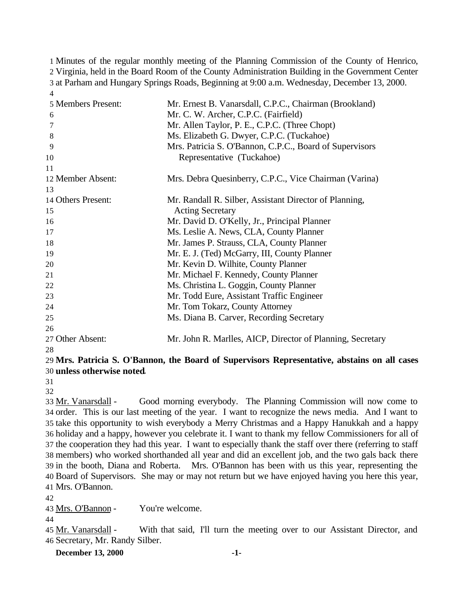Minutes of the regular monthly meeting of the Planning Commission of the County of Henrico, Virginia, held in the Board Room of the County Administration Building in the Government Center at Parham and Hungary Springs Roads, Beginning at 9:00 a.m. Wednesday, December 13, 2000. 

| 5 Members Present: | Mr. Ernest B. Vanarsdall, C.P.C., Chairman (Brookland)     |
|--------------------|------------------------------------------------------------|
| 6                  | Mr. C. W. Archer, C.P.C. (Fairfield)                       |
| 7                  | Mr. Allen Taylor, P. E., C.P.C. (Three Chopt)              |
| 8                  | Ms. Elizabeth G. Dwyer, C.P.C. (Tuckahoe)                  |
| 9                  | Mrs. Patricia S. O'Bannon, C.P.C., Board of Supervisors    |
| 10                 | Representative (Tuckahoe)                                  |
| 11                 |                                                            |
| 12 Member Absent:  | Mrs. Debra Quesinberry, C.P.C., Vice Chairman (Varina)     |
| 13                 |                                                            |
| 14 Others Present: | Mr. Randall R. Silber, Assistant Director of Planning,     |
| 15                 | <b>Acting Secretary</b>                                    |
| 16                 | Mr. David D. O'Kelly, Jr., Principal Planner               |
| 17                 | Ms. Leslie A. News, CLA, County Planner                    |
| 18                 | Mr. James P. Strauss, CLA, County Planner                  |
| 19                 | Mr. E. J. (Ted) McGarry, III, County Planner               |
| 20                 | Mr. Kevin D. Wilhite, County Planner                       |
| 21                 | Mr. Michael F. Kennedy, County Planner                     |
| 22                 | Ms. Christina L. Goggin, County Planner                    |
| 23                 | Mr. Todd Eure, Assistant Traffic Engineer                  |
| 24                 | Mr. Tom Tokarz, County Attorney                            |
| 25                 | Ms. Diana B. Carver, Recording Secretary                   |
| 26                 |                                                            |
| 27 Other Absent:   | Mr. John R. Marlles, AICP, Director of Planning, Secretary |
| 28                 |                                                            |
| $\mathbf{r}$       | $\mathbf{r}$ , $\mathbf{r}$ , $\mathbf{r}$ , $\mathbf{r}$  |

## **Mrs. Patricia S. O'Bannon, the Board of Supervisors Representative, abstains on all cases unless otherwise noted**.

 Mr. Vanarsdall - Good morning everybody. The Planning Commission will now come to order. This is our last meeting of the year. I want to recognize the news media. And I want to take this opportunity to wish everybody a Merry Christmas and a Happy Hanukkah and a happy holiday and a happy, however you celebrate it. I want to thank my fellow Commissioners for all of the cooperation they had this year. I want to especially thank the staff over there (referring to staff members) who worked shorthanded all year and did an excellent job, and the two gals back there in the booth, Diana and Roberta. Mrs. O'Bannon has been with us this year, representing the Board of Supervisors. She may or may not return but we have enjoyed having you here this year, Mrs. O'Bannon.

Mrs. O'Bannon - You're welcome.

45 Mr. Vanarsdall - With that said, I'll turn the meeting over to our Assistant Director, and Secretary, Mr. Randy Silber.

**December 13, 2000 -1-**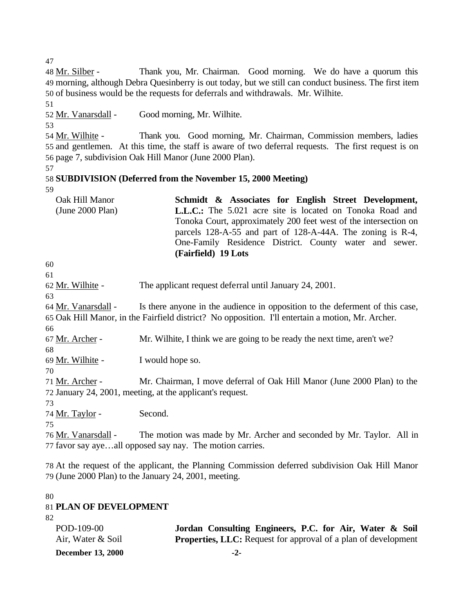48 Mr. Silber - Thank you, Mr. Chairman. Good morning. We do have a quorum this morning, although Debra Quesinberry is out today, but we still can conduct business. The first item of business would be the requests for deferrals and withdrawals. Mr. Wilhite.

Mr. Vanarsdall - Good morning, Mr. Wilhite.

 Mr. Wilhite - Thank you. Good morning, Mr. Chairman, Commission members, ladies and gentlemen. At this time, the staff is aware of two deferral requests. The first request is on page 7, subdivision Oak Hill Manor (June 2000 Plan).

# **SUBDIVISION (Deferred from the November 15, 2000 Meeting)**

| Oak Hill Manor     | Schmidt & Associates for English Street Development,             |
|--------------------|------------------------------------------------------------------|
| (June $2000$ Plan) | <b>L.L.C.:</b> The 5.021 acre site is located on Tonoka Road and |
|                    | Tonoka Court, approximately 200 feet west of the intersection on |
|                    | parcels 128-A-55 and part of 128-A-44A. The zoning is R-4,       |
|                    | One-Family Residence District. County water and sewer.           |
|                    | (Fairfield) 19 Lots                                              |

Mr. Wilhite - The applicant request deferral until January 24, 2001.

 Mr. Vanarsdall - Is there anyone in the audience in opposition to the deferment of this case, Oak Hill Manor, in the Fairfield district? No opposition. I'll entertain a motion, Mr. Archer.

67 Mr. Archer - Mr. Wilhite, I think we are going to be ready the next time, aren't we?

Mr. Wilhite - I would hope so.

 Mr. Archer - Mr. Chairman, I move deferral of Oak Hill Manor (June 2000 Plan) to the January 24, 2001, meeting, at the applicant's request.

Mr. Taylor - Second.

 Mr. Vanarsdall - The motion was made by Mr. Archer and seconded by Mr. Taylor. All in favor say aye…all opposed say nay. The motion carries.

 At the request of the applicant, the Planning Commission deferred subdivision Oak Hill Manor (June 2000 Plan) to the January 24, 2001, meeting.

**PLAN OF DEVELOPMENT**

| POD-109-00               | Jordan Consulting Engineers, P.C. for Air, Water & Soil               |
|--------------------------|-----------------------------------------------------------------------|
| Air, Water & Soil        | <b>Properties, LLC:</b> Request for approval of a plan of development |
| <b>December 13, 2000</b> | $-2-$                                                                 |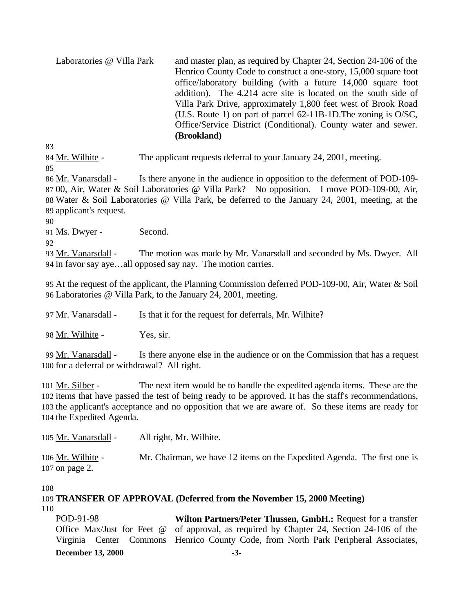Laboratories @ Villa Park and master plan, as required by Chapter 24, Section 24-106 of the Henrico County Code to construct a one-story, 15,000 square foot office/laboratory building (with a future 14,000 square foot addition). The 4.214 acre site is located on the south side of Villa Park Drive, approximately 1,800 feet west of Brook Road (U.S. Route 1) on part of parcel 62-11B-1D.The zoning is O/SC, Office/Service District (Conditional). County water and sewer. **(Brookland)**

83

84 Mr. Wilhite - The applicant requests deferral to your January 24, 2001, meeting.

85

 Mr. Vanarsdall - Is there anyone in the audience in opposition to the deferment of POD-109- 00, Air, Water & Soil Laboratories @ Villa Park? No opposition. I move POD-109-00, Air, Water & Soil Laboratories @ Villa Park, be deferred to the January 24, 2001, meeting, at the applicant's request.

90

91 Ms. Dwyer - Second.

92

93 Mr. Vanarsdall - The motion was made by Mr. Vanarsdall and seconded by Ms. Dwyer. All 94 in favor say aye…all opposed say nay. The motion carries.

95 At the request of the applicant, the Planning Commission deferred POD-109-00, Air, Water & Soil 96 Laboratories @ Villa Park, to the January 24, 2001, meeting.

97 Mr. Vanarsdall - Is that it for the request for deferrals, Mr. Wilhite?

98 Mr. Wilhite - Yes, sir.

99 Mr. Vanarsdall - Is there anyone else in the audience or on the Commission that has a request 100 for a deferral or withdrawal? All right.

 Mr. Silber - The next item would be to handle the expedited agenda items. These are the items that have passed the test of being ready to be approved. It has the staff's recommendations, the applicant's acceptance and no opposition that we are aware of. So these items are ready for the Expedited Agenda.

105 Mr. Vanarsdall - All right, Mr. Wilhite.

106 Mr. Wilhite - Mr. Chairman, we have 12 items on the Expedited Agenda. The first one is 107 on page 2.

108

109 **TRANSFER OF APPROVAL (Deferred from the November 15, 2000 Meeting)** 110

**December 13, 2000 -3-** POD-91-98 Office Max/Just for Feet @ Virginia Center Commons Henrico County Code, from North Park Peripheral Associates,**Wilton Partners/Peter Thussen, GmbH.:** Request for a transfer of approval, as required by Chapter 24, Section 24-106 of the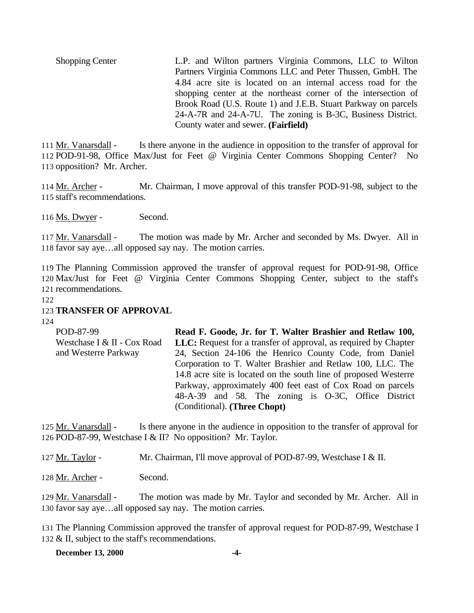Shopping Center **L.P.** and Wilton partners Virginia Commons, LLC to Wilton Partners Virginia Commons LLC and Peter Thussen, GmbH. The 4.84 acre site is located on an internal access road for the shopping center at the northeast corner of the intersection of Brook Road (U.S. Route 1) and J.E.B. Stuart Parkway on parcels 24-A-7R and 24-A-7U. The zoning is B-3C, Business District. County water and sewer. **(Fairfield)** 

111 Mr. Vanarsdall - Is there anyone in the audience in opposition to the transfer of approval for 112 POD-91-98, Office Max/Just for Feet @ Virginia Center Commons Shopping Center? No 113 opposition? Mr. Archer.

114 Mr. Archer - Mr. Chairman, I move approval of this transfer POD-91-98, subject to the 115 staff's recommendations.

116 Ms. Dwyer - Second.

117 Mr. Vanarsdall - The motion was made by Mr. Archer and seconded by Ms. Dwyer. All in 118 favor say aye…all opposed say nay. The motion carries.

119 The Planning Commission approved the transfer of approval request for POD-91-98, Office 120 Max/Just for Feet @ Virginia Center Commons Shopping Center, subject to the staff's 121 recommendations.

122

#### 123 **TRANSFER OF APPROVAL**

124

| POD-87-99                                                   | Read F. Goode, Jr. for T. Walter Brashier and Retlaw 100,               |  |  |  |  |  |  |  |
|-------------------------------------------------------------|-------------------------------------------------------------------------|--|--|--|--|--|--|--|
| Westchase I & II - Cox Road                                 | <b>LLC</b> : Request for a transfer of approval, as required by Chapter |  |  |  |  |  |  |  |
| and Westerre Parkway                                        | 24, Section 24-106 the Henrico County Code, from Daniel                 |  |  |  |  |  |  |  |
|                                                             | Corporation to T. Walter Brashier and Retlaw 100, LLC. The              |  |  |  |  |  |  |  |
|                                                             | 14.8 acre site is located on the south line of proposed Westerre        |  |  |  |  |  |  |  |
| Parkway, approximately 400 feet east of Cox Road on parcels |                                                                         |  |  |  |  |  |  |  |
|                                                             | 48-A-39 and 58. The zoning is O-3C, Office District                     |  |  |  |  |  |  |  |
|                                                             | (Conditional). (Three Chopt)                                            |  |  |  |  |  |  |  |

125 Mr. Vanarsdall - Is there anyone in the audience in opposition to the transfer of approval for 126 POD-87-99, Westchase I & II? No opposition? Mr. Taylor.

127 Mr. Taylor - Mr. Chairman, I'll move approval of POD-87-99, Westchase I & II.

128 Mr. Archer - Second.

129 Mr. Vanarsdall - The motion was made by Mr. Taylor and seconded by Mr. Archer. All in 130 favor say aye…all opposed say nay. The motion carries.

131 The Planning Commission approved the transfer of approval request for POD-87-99, Westchase I 132 & II, subject to the staff's recommendations.

#### **December 13, 2000 -4-**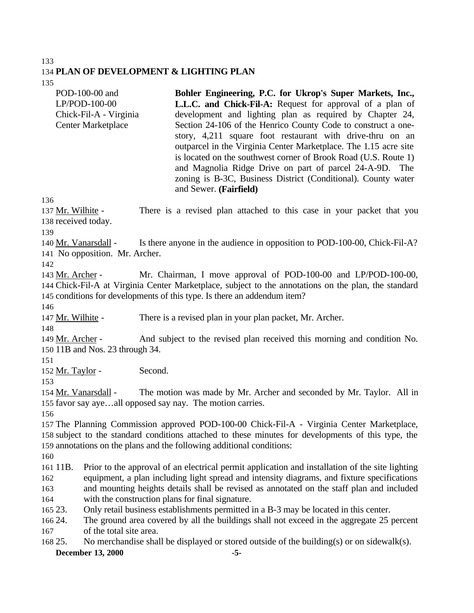# **PLAN OF DEVELOPMENT & LIGHTING PLAN**

| POD-100-00 and            | Bohler Engineering, P.C. for Ukrop's Super Markets, Inc.,                                                                                                                                                                                                                                                                                              |
|---------------------------|--------------------------------------------------------------------------------------------------------------------------------------------------------------------------------------------------------------------------------------------------------------------------------------------------------------------------------------------------------|
| $LP/POD-100-00$           | L.L.C. and Chick-Fil-A: Request for approval of a plan of                                                                                                                                                                                                                                                                                              |
| Chick-Fil-A - Virginia    | development and lighting plan as required by Chapter 24,                                                                                                                                                                                                                                                                                               |
| <b>Center Marketplace</b> | Section 24-106 of the Henrico County Code to construct a one-                                                                                                                                                                                                                                                                                          |
|                           | story, 4,211 square foot restaurant with drive-thru on an<br>outparcel in the Virginia Center Marketplace. The 1.15 acre site<br>is located on the southwest corner of Brook Road (U.S. Route 1)<br>and Magnolia Ridge Drive on part of parcel 24-A-9D. The<br>zoning is B-3C, Business District (Conditional). County water<br>and Sewer. (Fairfield) |
| 136                       |                                                                                                                                                                                                                                                                                                                                                        |
| 137 Mr. Wilhite -         | There is a revised plan attached to this case in your packet that you                                                                                                                                                                                                                                                                                  |
| 138 received today.       |                                                                                                                                                                                                                                                                                                                                                        |

140 Mr. Vanarsdall - Is there anyone in the audience in opposition to POD-100-00, Chick-Fil-A? No opposition. Mr. Archer.

 Mr. Archer - Mr. Chairman, I move approval of POD-100-00 and LP/POD-100-00, Chick-Fil-A at Virginia Center Marketplace, subject to the annotations on the plan, the standard conditions for developments of this type. Is there an addendum item?

147 Mr. Wilhite - There is a revised plan in your plan packet, Mr. Archer.

 149 Mr. Archer - And subject to the revised plan received this morning and condition No.

11B and Nos. 23 through 34.

Mr. Taylor - Second.

 Mr. Vanarsdall - The motion was made by Mr. Archer and seconded by Mr. Taylor. All in favor say aye…all opposed say nay. The motion carries.

 The Planning Commission approved POD-100-00 Chick-Fil-A - Virginia Center Marketplace, subject to the standard conditions attached to these minutes for developments of this type, the annotations on the plans and the following additional conditions:

 11B. Prior to the approval of an electrical permit application and installation of the site lighting equipment, a plan including light spread and intensity diagrams, and fixture specifications and mounting heights details shall be revised as annotated on the staff plan and included

with the construction plans for final signature.

23. Only retail business establishments permitted in a B-3 may be located in this center.

 24. The ground area covered by all the buildings shall not exceed in the aggregate 25 percent of the total site area.

25. No merchandise shall be displayed or stored outside of the building(s) or on sidewalk(s).

**December 13, 2000 -5-**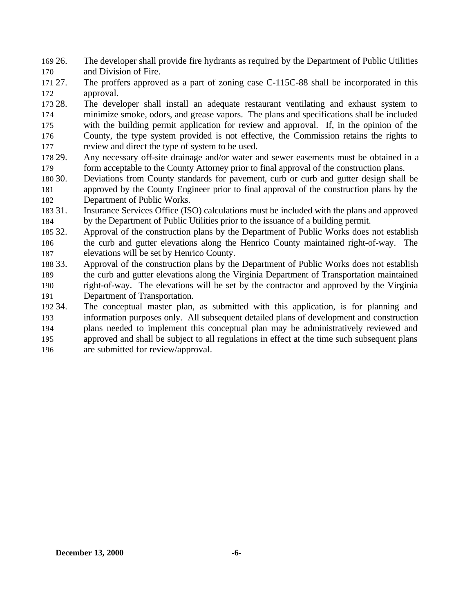- 26. The developer shall provide fire hydrants as required by the Department of Public Utilities and Division of Fire.
- 27. The proffers approved as a part of zoning case C-115C-88 shall be incorporated in this approval.
- 28. The developer shall install an adequate restaurant ventilating and exhaust system to minimize smoke, odors, and grease vapors. The plans and specifications shall be included with the building permit application for review and approval. If, in the opinion of the County, the type system provided is not effective, the Commission retains the rights to review and direct the type of system to be used.
- 29. Any necessary off-site drainage and/or water and sewer easements must be obtained in a form acceptable to the County Attorney prior to final approval of the construction plans.
- 30. Deviations from County standards for pavement, curb or curb and gutter design shall be approved by the County Engineer prior to final approval of the construction plans by the Department of Public Works.
- 31. Insurance Services Office (ISO) calculations must be included with the plans and approved by the Department of Public Utilities prior to the issuance of a building permit.
- 32. Approval of the construction plans by the Department of Public Works does not establish the curb and gutter elevations along the Henrico County maintained right-of-way. The elevations will be set by Henrico County.
- 33. Approval of the construction plans by the Department of Public Works does not establish the curb and gutter elevations along the Virginia Department of Transportation maintained right-of-way. The elevations will be set by the contractor and approved by the Virginia Department of Transportation.
- 34. The conceptual master plan, as submitted with this application, is for planning and information purposes only. All subsequent detailed plans of development and construction plans needed to implement this conceptual plan may be administratively reviewed and approved and shall be subject to all regulations in effect at the time such subsequent plans are submitted for review/approval.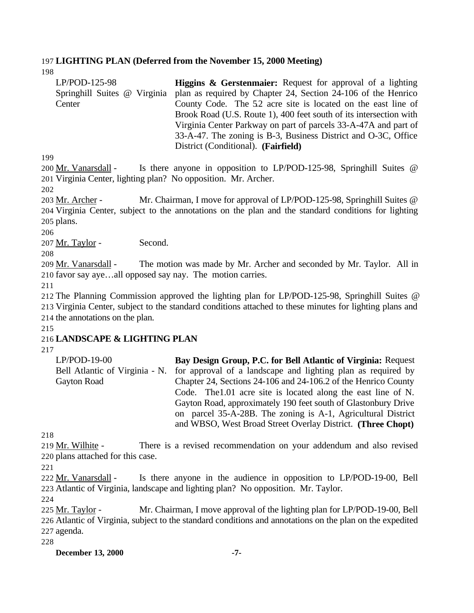#### 197 **LIGHTING PLAN (Deferred from the November 15, 2000 Meeting)**

198

| $LP/POD-125-98$              | <b>Higgins &amp; Gerstenmaier:</b> Request for approval of a lighting |
|------------------------------|-----------------------------------------------------------------------|
| Springhill Suites @ Virginia | plan as required by Chapter 24, Section 24-106 of the Henrico         |
| Center                       | County Code. The 5.2 acre site is located on the east line of         |
|                              | Brook Road (U.S. Route 1), 400 feet south of its intersection with    |
|                              | Virginia Center Parkway on part of parcels 33-A-47A and part of       |
|                              | 33-A-47. The zoning is B-3, Business District and O-3C, Office        |
|                              | District (Conditional). (Fairfield)                                   |

199

200 Mr. Vanarsdall - Is there anyone in opposition to LP/POD-125-98, Springhill Suites @ 201 Virginia Center, lighting plan? No opposition. Mr. Archer.

202

203 Mr. Archer - Mr. Chairman, I move for approval of LP/POD-125-98, Springhill Suites @ 204 Virginia Center, subject to the annotations on the plan and the standard conditions for lighting 205 plans.

206

207 Mr. Taylor - Second.

208

209 Mr. Vanarsdall - The motion was made by Mr. Archer and seconded by Mr. Taylor. All in 210 favor say aye…all opposed say nay. The motion carries.

211

212 The Planning Commission approved the lighting plan for LP/POD-125-98, Springhill Suites @ 213 Virginia Center, subject to the standard conditions attached to these minutes for lighting plans and 214 the annotations on the plan.

215

## 216 **LANDSCAPE & LIGHTING PLAN**

217

| $LP/POD-19-00$                 | Bay Design Group, P.C. for Bell Atlantic of Virginia: Request  |
|--------------------------------|----------------------------------------------------------------|
| Bell Atlantic of Virginia - N. | for approval of a landscape and lighting plan as required by   |
| Gayton Road                    | Chapter 24, Sections 24-106 and 24-106.2 of the Henrico County |
|                                | Code. The 1.01 acre site is located along the east line of N.  |
|                                | Gayton Road, approximately 190 feet south of Glastonbury Drive |
|                                | on parcel 35-A-28B. The zoning is A-1, Agricultural District   |
|                                | and WBSO, West Broad Street Overlay District. (Three Chopt)    |

218

219 Mr. Wilhite - There is a revised recommendation on your addendum and also revised 220 plans attached for this case.

221

222 Mr. Vanarsdall - Is there anyone in the audience in opposition to LP/POD-19-00, Bell 223 Atlantic of Virginia, landscape and lighting plan? No opposition. Mr. Taylor.

224

225 Mr. Taylor - Mr. Chairman, I move approval of the lighting plan for LP/POD-19-00, Bell 226 Atlantic of Virginia, subject to the standard conditions and annotations on the plan on the expedited 227 agenda.

228

**December 13, 2000 -7-**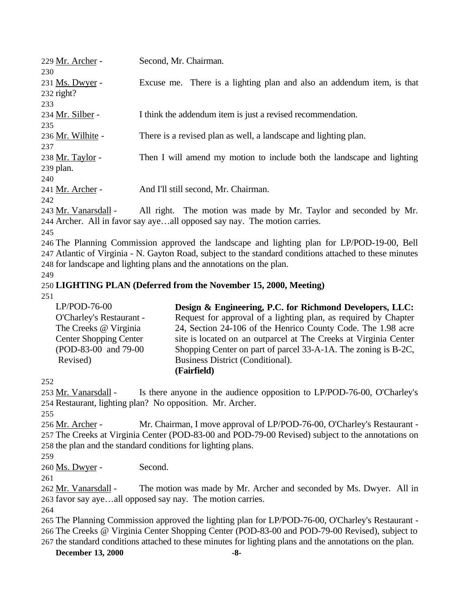| 229 Mr. Archer -     | Second, Mr. Chairman.                                                  |
|----------------------|------------------------------------------------------------------------|
| 230                  |                                                                        |
| 231 Ms. Dwyer -      | Excuse me. There is a lighting plan and also an addendum item, is that |
| $232$ right?         |                                                                        |
| 233                  |                                                                        |
| 234 Mr. Silber -     | I think the addendum item is just a revised recommendation.            |
| 235                  |                                                                        |
| 236 Mr. Wilhite -    | There is a revised plan as well, a landscape and lighting plan.        |
| 237                  |                                                                        |
| 238 Mr. Taylor -     | Then I will amend my motion to include both the landscape and lighting |
| 239 plan.            |                                                                        |
| 240                  |                                                                        |
| 241 Mr. Archer -     | And I'll still second, Mr. Chairman.                                   |
| 242                  |                                                                        |
| 243 Mr. Vanarsdall - | All right. The motion was made by Mr. Taylor and seconded by Mr.       |

244 Archer. All in favor say aye…all opposed say nay. The motion carries.

245

246 The Planning Commission approved the landscape and lighting plan for LP/POD-19-00, Bell 247 Atlantic of Virginia - N. Gayton Road, subject to the standard conditions attached to these minutes 248 for landscape and lighting plans and the annotations on the plan.

249

## 250 **LIGHTING PLAN (Deferred from the November 15, 2000, Meeting)**

251

| LP/POD-76-00                  | Design & Engineering, P.C. for Richmond Developers, LLC:         |
|-------------------------------|------------------------------------------------------------------|
| O'Charley's Restaurant -      | Request for approval of a lighting plan, as required by Chapter  |
| The Creeks @ Virginia         | 24, Section 24-106 of the Henrico County Code. The 1.98 acre     |
| <b>Center Shopping Center</b> | site is located on an outparcel at The Creeks at Virginia Center |
| (POD-83-00 and 79-00          | Shopping Center on part of parcel 33-A-1A. The zoning is B-2C,   |
| Revised)                      | Business District (Conditional).                                 |
|                               | (Fairfield)                                                      |

252

253 Mr. Vanarsdall - Is there anyone in the audience opposition to LP/POD-76-00, O'Charley's 254 Restaurant, lighting plan? No opposition. Mr. Archer.

255

256 Mr. Archer - Mr. Chairman, I move approval of LP/POD-76-00, O'Charley's Restaurant -257 The Creeks at Virginia Center (POD-83-00 and POD-79-00 Revised) subject to the annotations on 258 the plan and the standard conditions for lighting plans.

259

260 <u>Ms. Dwyer</u> - Second.

261

262 Mr. Vanarsdall - The motion was made by Mr. Archer and seconded by Ms. Dwyer. All in 263 favor say aye…all opposed say nay. The motion carries.

264

265 The Planning Commission approved the lighting plan for LP/POD-76-00, O'Charley's Restaurant - 266 The Creeks @ Virginia Center Shopping Center (POD-83-00 and POD-79-00 Revised), subject to 267 the standard conditions attached to these minutes for lighting plans and the annotations on the plan.

**December 13, 2000 -8-**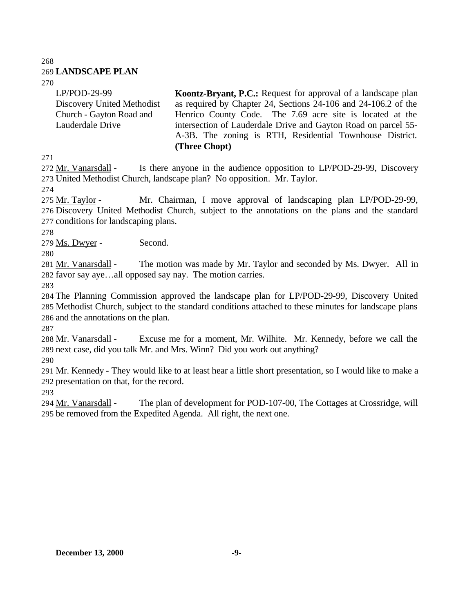#### **LANDSCAPE PLAN**

LP/POD-29-99 Discovery United Methodist Church - Gayton Road and Lauderdale Drive

**Koontz-Bryant, P.C.:** Request for approval of a landscape plan as required by Chapter 24, Sections 24-106 and 24-106.2 of the Henrico County Code. The 7.69 acre site is located at the intersection of Lauderdale Drive and Gayton Road on parcel 55- A-3B. The zoning is RTH, Residential Townhouse District. **(Three Chopt)**

 Mr. Vanarsdall - Is there anyone in the audience opposition to LP/POD-29-99, Discovery United Methodist Church, landscape plan? No opposition. Mr. Taylor.

275 Mr. Taylor - Mr. Chairman, I move approval of landscaping plan LP/POD-29-99, Discovery United Methodist Church, subject to the annotations on the plans and the standard conditions for landscaping plans.

279 Ms. Dwyer - Second.

281 Mr. Vanarsdall - The motion was made by Mr. Taylor and seconded by Ms. Dwyer. All in favor say aye…all opposed say nay. The motion carries.

 The Planning Commission approved the landscape plan for LP/POD-29-99, Discovery United Methodist Church, subject to the standard conditions attached to these minutes for landscape plans and the annotations on the plan.

 Mr. Vanarsdall - Excuse me for a moment, Mr. Wilhite. Mr. Kennedy, before we call the next case, did you talk Mr. and Mrs. Winn? Did you work out anything?

 Mr. Kennedy - They would like to at least hear a little short presentation, so I would like to make a presentation on that, for the record.

294 Mr. Vanarsdall - The plan of development for POD-107-00, The Cottages at Crossridge, will be removed from the Expedited Agenda. All right, the next one.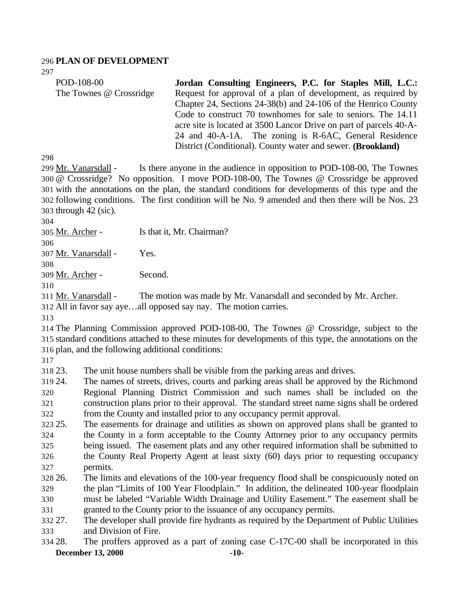#### **PLAN OF DEVELOPMENT**

| POD-108-00              | Jordan Consulting Engineers, P.C. for Staples Mill, L.C.:          |
|-------------------------|--------------------------------------------------------------------|
| The Townes @ Crossridge | Request for approval of a plan of development, as required by      |
|                         | Chapter 24, Sections 24-38(b) and 24-106 of the Henrico County     |
|                         | Code to construct 70 townhomes for sale to seniors. The 14.11      |
|                         | acre site is located at 3500 Lancor Drive on part of parcels 40-A- |
|                         | 24 and 40-A-1A. The zoning is R-6AC, General Residence             |
|                         | District (Conditional). County water and sewer. (Brookland)        |
|                         |                                                                    |

 Mr. Vanarsdall - Is there anyone in the audience in opposition to POD-108-00, The Townes @ Crossridge? No opposition. I move POD-108-00, The Townes @ Crossridge be approved with the annotations on the plan, the standard conditions for developments of this type and the following conditions. The first condition will be No. 9 amended and then there will be Nos. 23 through 42 (sic).

Mr. Archer - Is that it, Mr. Chairman?

Mr. Vanarsdall - Yes.

Mr. Archer - Second.

Mr. Vanarsdall - The motion was made by Mr. Vanarsdall and seconded by Mr. Archer.

All in favor say aye…all opposed say nay. The motion carries.

 The Planning Commission approved POD-108-00, The Townes @ Crossridge, subject to the standard conditions attached to these minutes for developments of this type, the annotations on the plan, and the following additional conditions:

23. The unit house numbers shall be visible from the parking areas and drives.

 24. The names of streets, drives, courts and parking areas shall be approved by the Richmond Regional Planning District Commission and such names shall be included on the construction plans prior to their approval. The standard street name signs shall be ordered from the County and installed prior to any occupancy permit approval.

 25. The easements for drainage and utilities as shown on approved plans shall be granted to the County in a form acceptable to the County Attorney prior to any occupancy permits being issued. The easement plats and any other required information shall be submitted to the County Real Property Agent at least sixty (60) days prior to requesting occupancy permits.

 26. The limits and elevations of the 100-year frequency flood shall be conspicuously noted on the plan "Limits of 100 Year Floodplain." In addition, the delineated 100-year floodplain must be labeled "Variable Width Drainage and Utility Easement." The easement shall be

granted to the County prior to the issuance of any occupancy permits.

 27. The developer shall provide fire hydrants as required by the Department of Public Utilities and Division of Fire.

## **December 13, 2000 -10-** 28. The proffers approved as a part of zoning case C-17C-00 shall be incorporated in this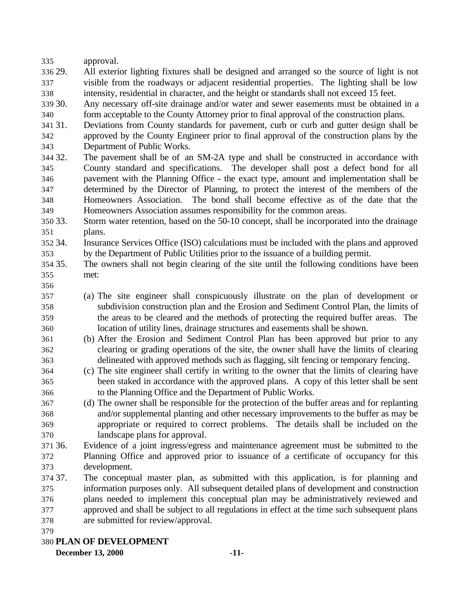approval. 29. All exterior lighting fixtures shall be designed and arranged so the source of light is not visible from the roadways or adjacent residential properties. The lighting shall be low intensity, residential in character, and the height or standards shall not exceed 15 feet. 30. Any necessary off-site drainage and/or water and sewer easements must be obtained in a form acceptable to the County Attorney prior to final approval of the construction plans. 31. Deviations from County standards for pavement, curb or curb and gutter design shall be approved by the County Engineer prior to final approval of the construction plans by the Department of Public Works. 32. The pavement shall be of an SM-2A type and shall be constructed in accordance with County standard and specifications. The developer shall post a defect bond for all pavement with the Planning Office - the exact type, amount and implementation shall be determined by the Director of Planning, to protect the interest of the members of the Homeowners Association. The bond shall become effective as of the date that the Homeowners Association assumes responsibility for the common areas. 33. Storm water retention, based on the 50-10 concept, shall be incorporated into the drainage plans. 34. Insurance Services Office (ISO) calculations must be included with the plans and approved by the Department of Public Utilities prior to the issuance of a building permit. 35. The owners shall not begin clearing of the site until the following conditions have been met:

- 
- (a) The site engineer shall conspicuously illustrate on the plan of development or subdivision construction plan and the Erosion and Sediment Control Plan, the limits of the areas to be cleared and the methods of protecting the required buffer areas. The location of utility lines, drainage structures and easements shall be shown.
- (b) After the Erosion and Sediment Control Plan has been approved but prior to any clearing or grading operations of the site, the owner shall have the limits of clearing delineated with approved methods such as flagging, silt fencing or temporary fencing.
- (c) The site engineer shall certify in writing to the owner that the limits of clearing have been staked in accordance with the approved plans. A copy of this letter shall be sent to the Planning Office and the Department of Public Works.
- (d) The owner shall be responsible for the protection of the buffer areas and for replanting and/or supplemental planting and other necessary improvements to the buffer as may be appropriate or required to correct problems. The details shall be included on the landscape plans for approval.
- 36. Evidence of a joint ingress/egress and maintenance agreement must be submitted to the Planning Office and approved prior to issuance of a certificate of occupancy for this development.
- 37. The conceptual master plan, as submitted with this application, is for planning and information purposes only. All subsequent detailed plans of development and construction plans needed to implement this conceptual plan may be administratively reviewed and approved and shall be subject to all regulations in effect at the time such subsequent plans are submitted for review/approval.
- 

# **PLAN OF DEVELOPMENT**

**December 13, 2000 -11-**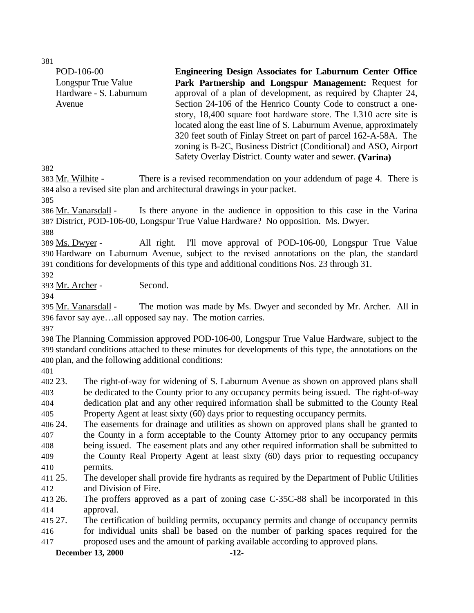**December 13, 2000 -12-** POD-106-00 Longspur True Value Hardware - S. Laburnum Avenue **Engineering Design Associates for Laburnum Center Office Park Partnership and Longspur Management:** Request for approval of a plan of development, as required by Chapter 24, Section 24-106 of the Henrico County Code to construct a onestory, 18,400 square foot hardware store. The 1.310 acre site is located along the east line of S. Laburnum Avenue, approximately 320 feet south of Finlay Street on part of parcel 162-A-58A. The zoning is B-2C, Business District (Conditional) and ASO, Airport Safety Overlay District. County water and sewer. **(Varina)** 383 Mr. Wilhite - There is a revised recommendation on your addendum of page 4. There is also a revised site plan and architectural drawings in your packet. Mr. Vanarsdall - Is there anyone in the audience in opposition to this case in the Varina District, POD-106-00, Longspur True Value Hardware? No opposition. Ms. Dwyer. Ms. Dwyer - All right. I'll move approval of POD-106-00, Longspur True Value Hardware on Laburnum Avenue, subject to the revised annotations on the plan, the standard conditions for developments of this type and additional conditions Nos. 23 through 31. Mr. Archer - Second. Mr. Vanarsdall - The motion was made by Ms. Dwyer and seconded by Mr. Archer. All in favor say aye…all opposed say nay. The motion carries. The Planning Commission approved POD-106-00, Longspur True Value Hardware, subject to the standard conditions attached to these minutes for developments of this type, the annotations on the plan, and the following additional conditions: 23. The right-of-way for widening of S. Laburnum Avenue as shown on approved plans shall be dedicated to the County prior to any occupancy permits being issued. The right-of-way dedication plat and any other required information shall be submitted to the County Real Property Agent at least sixty (60) days prior to requesting occupancy permits. 24. The easements for drainage and utilities as shown on approved plans shall be granted to the County in a form acceptable to the County Attorney prior to any occupancy permits being issued. The easement plats and any other required information shall be submitted to the County Real Property Agent at least sixty (60) days prior to requesting occupancy permits. 25. The developer shall provide fire hydrants as required by the Department of Public Utilities and Division of Fire. 26. The proffers approved as a part of zoning case C-35C-88 shall be incorporated in this approval. 27. The certification of building permits, occupancy permits and change of occupancy permits for individual units shall be based on the number of parking spaces required for the proposed uses and the amount of parking available according to approved plans.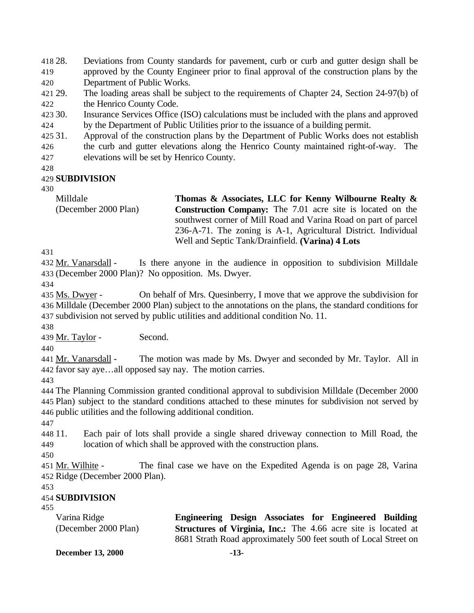28. Deviations from County standards for pavement, curb or curb and gutter design shall be approved by the County Engineer prior to final approval of the construction plans by the Department of Public Works.

- 29. The loading areas shall be subject to the requirements of Chapter 24, Section 24-97(b) of the Henrico County Code.
- 30. Insurance Services Office (ISO) calculations must be included with the plans and approved by the Department of Public Utilities prior to the issuance of a building permit.

 31. Approval of the construction plans by the Department of Public Works does not establish the curb and gutter elevations along the Henrico County maintained right-of-way. The elevations will be set by Henrico County.

## **SUBDIVISION**

Milldale (December 2000 Plan) **Thomas & Associates, LLC for Kenny Wilbourne Realty & Construction Company:** The 7.01 acre site is located on the southwest corner of Mill Road and Varina Road on part of parcel 236-A-71. The zoning is A-1, Agricultural District. Individual Well and Septic Tank/Drainfield. **(Varina) 4 Lots**

432 Mr. Vanarsdall - Is there anyone in the audience in opposition to subdivision Milldale (December 2000 Plan)? No opposition. Ms. Dwyer.

 Ms. Dwyer - On behalf of Mrs. Quesinberry, I move that we approve the subdivision for Milldale (December 2000 Plan) subject to the annotations on the plans, the standard conditions for subdivision not served by public utilities and additional condition No. 11.

Mr. Taylor - Second.

 Mr. Vanarsdall - The motion was made by Ms. Dwyer and seconded by Mr. Taylor. All in favor say aye…all opposed say nay. The motion carries.

 The Planning Commission granted conditional approval to subdivision Milldale (December 2000 Plan) subject to the standard conditions attached to these minutes for subdivision not served by public utilities and the following additional condition.

 11. Each pair of lots shall provide a single shared driveway connection to Mill Road, the location of which shall be approved with the construction plans.

 Mr. Wilhite - The final case we have on the Expedited Agenda is on page 28, Varina Ridge (December 2000 Plan).

## **SUBDIVISION**

| Varina Ridge         | Engineering Design Associates for Engineered Building                 |  |  |  |  |
|----------------------|-----------------------------------------------------------------------|--|--|--|--|
| (December 2000 Plan) | <b>Structures of Virginia, Inc.:</b> The 4.66 acre site is located at |  |  |  |  |
|                      | 8681 Strath Road approximately 500 feet south of Local Street on      |  |  |  |  |

**December 13, 2000 -13-**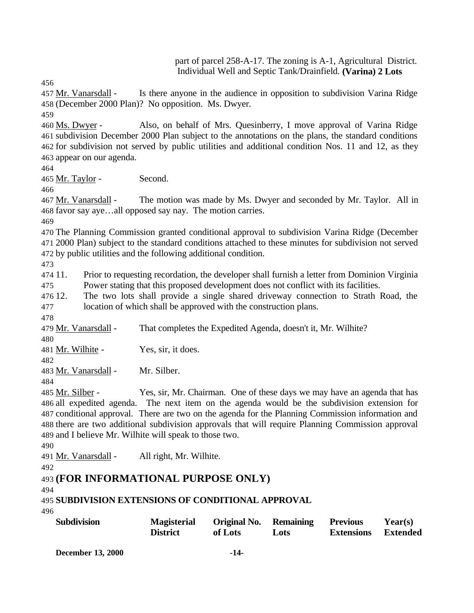part of parcel 258-A-17. The zoning is A-1, Agricultural District. Individual Well and Septic Tank/Drainfield. **(Varina) 2 Lots**

457 Mr. Vanarsdall - Is there anyone in the audience in opposition to subdivision Varina Ridge (December 2000 Plan)? No opposition. Ms. Dwyer.

 Ms. Dwyer - Also, on behalf of Mrs. Quesinberry, I move approval of Varina Ridge subdivision December 2000 Plan subject to the annotations on the plans, the standard conditions for subdivision not served by public utilities and additional condition Nos. 11 and 12, as they appear on our agenda.

465 Mr. Taylor - Second.

467 Mr. Vanarsdall - The motion was made by Ms. Dwyer and seconded by Mr. Taylor. All in favor say aye…all opposed say nay. The motion carries.

 The Planning Commission granted conditional approval to subdivision Varina Ridge (December 2000 Plan) subject to the standard conditions attached to these minutes for subdivision not served by public utilities and the following additional condition.

 11. Prior to requesting recordation, the developer shall furnish a letter from Dominion Virginia Power stating that this proposed development does not conflict with its facilities.

 12. The two lots shall provide a single shared driveway connection to Strath Road, the location of which shall be approved with the construction plans.

Mr. Vanarsdall - That completes the Expedited Agenda, doesn't it, Mr. Wilhite?

481 Mr. Wilhite - Yes, sir, it does.

Mr. Vanarsdall - Mr. Silber.

 Mr. Silber - Yes, sir, Mr. Chairman. One of these days we may have an agenda that has all expedited agenda. The next item on the agenda would be the subdivision extension for conditional approval. There are two on the agenda for the Planning Commission information and there are two additional subdivision approvals that will require Planning Commission approval and I believe Mr. Wilhite will speak to those two.

491 Mr. Vanarsdall - All right, Mr. Wilhite.

**(FOR INFORMATIONAL PURPOSE ONLY)**

# **SUBDIVISION EXTENSIONS OF CONDITIONAL APPROVAL**

| <b>Subdivision</b> | <b>Magisterial</b> | Original No. | <b>Remaining</b> | <b>Previous</b>   | Year(s)         |
|--------------------|--------------------|--------------|------------------|-------------------|-----------------|
|                    | District           | of Lots      | Lots             | <b>Extensions</b> | <b>Extended</b> |

**December 13, 2000 -14-**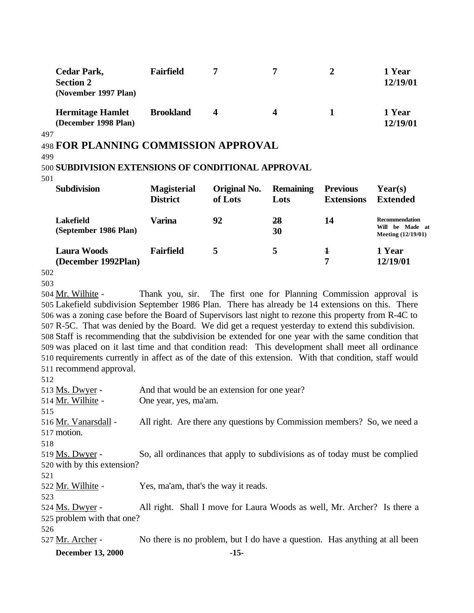| <b>Cedar Park,</b><br><b>Section 2</b><br>(November 1997 Plan)                                                        | <b>Fairfield</b>                      | 7                                                                                                                                                                                                                                                                                                                                                                                                       | 7                        | $\overline{2}$                       | 1 Year<br>12/19/01                                                    |
|-----------------------------------------------------------------------------------------------------------------------|---------------------------------------|---------------------------------------------------------------------------------------------------------------------------------------------------------------------------------------------------------------------------------------------------------------------------------------------------------------------------------------------------------------------------------------------------------|--------------------------|--------------------------------------|-----------------------------------------------------------------------|
| <b>Hermitage Hamlet</b><br>(December 1998 Plan)<br>497                                                                | <b>Brookland</b>                      | 4                                                                                                                                                                                                                                                                                                                                                                                                       | $\overline{\mathbf{4}}$  | $\mathbf{1}$                         | 1 Year<br>12/19/01                                                    |
| <b>498 FOR PLANNING COMMISSION APPROVAL</b><br>499<br>500 SUBDIVISION EXTENSIONS OF CONDITIONAL APPROVAL<br>501       |                                       |                                                                                                                                                                                                                                                                                                                                                                                                         |                          |                                      |                                                                       |
| Subdivision                                                                                                           | <b>Magisterial</b><br><b>District</b> | Original No.<br>of Lots                                                                                                                                                                                                                                                                                                                                                                                 | <b>Remaining</b><br>Lots | <b>Previous</b><br><b>Extensions</b> | Year(s)<br><b>Extended</b>                                            |
| <b>Lakefield</b><br>(September 1986 Plan)                                                                             | <b>Varina</b>                         | 92                                                                                                                                                                                                                                                                                                                                                                                                      | 28<br>30                 | 14                                   | <b>Recommendation</b><br>Will be Made at<br><b>Meeting (12/19/01)</b> |
| <b>Laura Woods</b><br>(December 1992Plan)                                                                             | <b>Fairfield</b>                      | 5                                                                                                                                                                                                                                                                                                                                                                                                       | 5                        | $\mathbf{1}$<br>7                    | 1 Year<br>12/19/01                                                    |
| 502                                                                                                                   |                                       |                                                                                                                                                                                                                                                                                                                                                                                                         |                          |                                      |                                                                       |
| 503                                                                                                                   |                                       |                                                                                                                                                                                                                                                                                                                                                                                                         |                          |                                      |                                                                       |
| 504 Mr. Wilhite -<br>505 Lakefield subdivision September 1986 Plan. There has already be 14 extensions on this. There |                                       | Thank you, sir. The first one for Planning Commission approval is<br>$\mathbf{1}$ $\mathbf{0}$ $\mathbf{1}$ $\mathbf{0}$ $\mathbf{1}$ $\mathbf{0}$ $\mathbf{1}$ $\mathbf{1}$ $\mathbf{1}$ $\mathbf{1}$ $\mathbf{1}$ $\mathbf{1}$ $\mathbf{1}$ $\mathbf{1}$ $\mathbf{1}$ $\mathbf{1}$ $\mathbf{1}$ $\mathbf{1}$ $\mathbf{1}$ $\mathbf{1}$ $\mathbf{1}$ $\mathbf{1}$ $\mathbf{1}$ $\mathbf{1}$ $\mathbf{$ |                          |                                      |                                                                       |

 was a zoning case before the Board of Supervisors last night to rezone this property from R-4C to R-5C. That was denied by the Board. We did get a request yesterday to extend this subdivision. Staff is recommending that the subdivision be extended for one year with the same condition that was placed on it last time and that condition read: This development shall meet all ordinance requirements currently in affect as of the date of this extension. With that condition, staff would recommend approval.

512

| <b>December 13, 2000</b>    | $-15-$                                                                     |
|-----------------------------|----------------------------------------------------------------------------|
| 527 Mr. Archer -            | No there is no problem, but I do have a question. Has anything at all been |
| 526                         |                                                                            |
| 525 problem with that one?  |                                                                            |
| 524 Ms. Dwyer -             | All right. Shall I move for Laura Woods as well, Mr. Archer? Is there a    |
| 523                         |                                                                            |
| 522 Mr. Wilhite -           | Yes, ma'am, that's the way it reads.                                       |
| 521                         |                                                                            |
| 520 with by this extension? |                                                                            |
| 519 Ms. Dwyer -             | So, all ordinances that apply to subdivisions as of today must be complied |
| 518                         |                                                                            |
| 517 motion.                 |                                                                            |
| 516 Mr. Vanarsdall -        | All right. Are there any questions by Commission members? So, we need a    |
| 515                         |                                                                            |
| 514 Mr. Wilhite -           | One year, yes, ma'am.                                                      |
| 513 Ms. Dwyer -             | And that would be an extension for one year?                               |
| ے ر                         |                                                                            |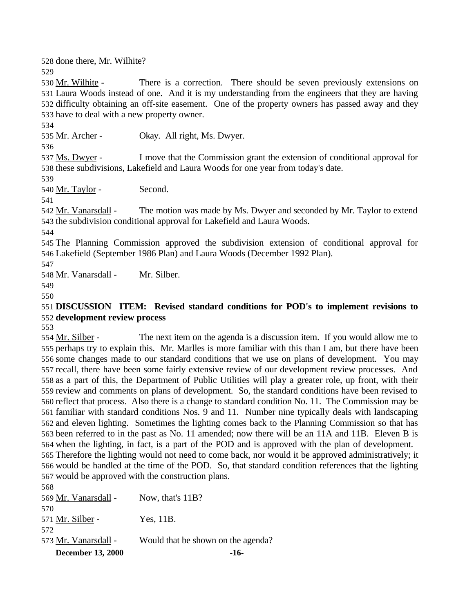done there, Mr. Wilhite?

 Mr. Wilhite - There is a correction. There should be seven previously extensions on Laura Woods instead of one. And it is my understanding from the engineers that they are having difficulty obtaining an off-site easement. One of the property owners has passed away and they have to deal with a new property owner.

535 Mr. Archer - Okay. All right, Ms. Dwyer.

537 Ms. Dwyer - I move that the Commission grant the extension of conditional approval for these subdivisions, Lakefield and Laura Woods for one year from today's date.

Mr. Taylor - Second.

 Mr. Vanarsdall - The motion was made by Ms. Dwyer and seconded by Mr. Taylor to extend the subdivision conditional approval for Lakefield and Laura Woods.

 The Planning Commission approved the subdivision extension of conditional approval for Lakefield (September 1986 Plan) and Laura Woods (December 1992 Plan).

Mr. Vanarsdall - Mr. Silber.

 

 **DISCUSSION ITEM: Revised standard conditions for POD's to implement revisions to development review process** 

 Mr. Silber - The next item on the agenda is a discussion item. If you would allow me to perhaps try to explain this. Mr. Marlles is more familiar with this than I am, but there have been some changes made to our standard conditions that we use on plans of development. You may recall, there have been some fairly extensive review of our development review processes. And as a part of this, the Department of Public Utilities will play a greater role, up front, with their review and comments on plans of development. So, the standard conditions have been revised to reflect that process. Also there is a change to standard condition No. 11. The Commission may be familiar with standard conditions Nos. 9 and 11. Number nine typically deals with landscaping and eleven lighting. Sometimes the lighting comes back to the Planning Commission so that has been referred to in the past as No. 11 amended; now there will be an 11A and 11B. Eleven B is when the lighting, in fact, is a part of the POD and is approved with the plan of development. Therefore the lighting would not need to come back, nor would it be approved administratively; it would be handled at the time of the POD. So, that standard condition references that the lighting would be approved with the construction plans.

**December 13, 2000 -16-** Mr. Vanarsdall - Now, that's 11B? 571 Mr. Silber - Yes, 11B. 573 Mr. Vanarsdall - Would that be shown on the agenda?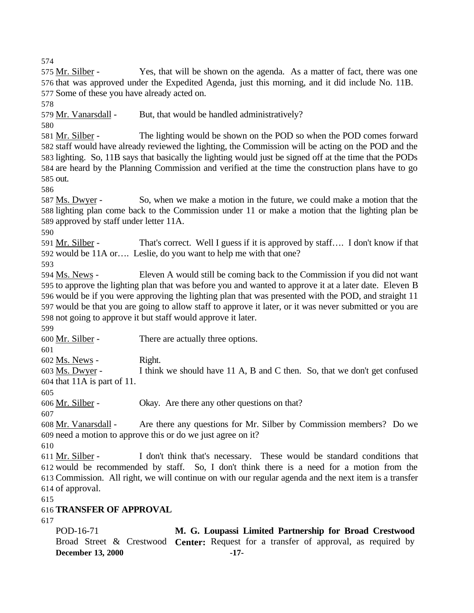575 Mr. Silber - Yes, that will be shown on the agenda. As a matter of fact, there was one that was approved under the Expedited Agenda, just this morning, and it did include No. 11B. Some of these you have already acted on.

579 Mr. Vanarsdall - But, that would be handled administratively?

581 Mr. Silber - The lighting would be shown on the POD so when the POD comes forward staff would have already reviewed the lighting, the Commission will be acting on the POD and the lighting. So, 11B says that basically the lighting would just be signed off at the time that the PODs are heard by the Planning Commission and verified at the time the construction plans have to go out.

 Ms. Dwyer - So, when we make a motion in the future, we could make a motion that the lighting plan come back to the Commission under 11 or make a motion that the lighting plan be approved by staff under letter 11A.

591 Mr. Silber - That's correct. Well I guess if it is approved by staff.... I don't know if that would be 11A or…. Leslie, do you want to help me with that one?

 Ms. News - Eleven A would still be coming back to the Commission if you did not want to approve the lighting plan that was before you and wanted to approve it at a later date. Eleven B would be if you were approving the lighting plan that was presented with the POD, and straight 11 would be that you are going to allow staff to approve it later, or it was never submitted or you are not going to approve it but staff would approve it later.

Mr. Silber - There are actually three options.

Ms. News - Right.

 Ms. Dwyer - I think we should have 11 A, B and C then. So, that we don't get confused that 11A is part of 11.

606 Mr. Silber - Okay. Are there any other questions on that?

 Mr. Vanarsdall - Are there any questions for Mr. Silber by Commission members? Do we need a motion to approve this or do we just agree on it?

 Mr. Silber - I don't think that's necessary. These would be standard conditions that would be recommended by staff. So, I don't think there is a need for a motion from the Commission. All right, we will continue on with our regular agenda and the next item is a transfer of approval.

## **TRANSFER OF APPROVAL**

**December 13, 2000 -17-** POD-16-71 Broad Street & Crestwood **Center:** Request for a transfer of approval, as required by**M. G. Loupassi Limited Partnership for Broad Crestwood**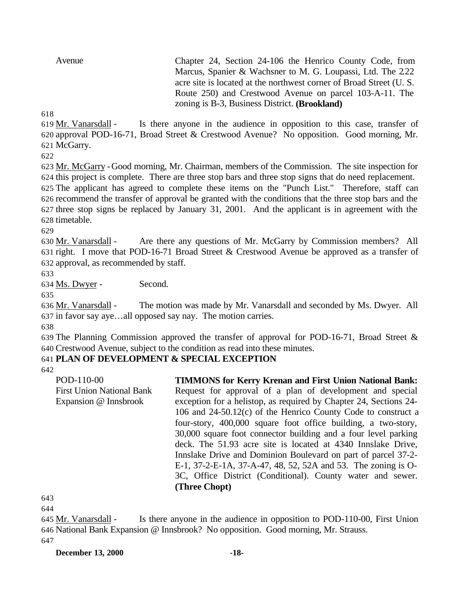Avenue Chapter 24, Section 24-106 the Henrico County Code, from Marcus, Spanier & Wachsner to M. G. Loupassi, Ltd. The 2.22 acre site is located at the northwest corner of Broad Street (U. S. Route 250) and Crestwood Avenue on parcel 103-A-11. The zoning is B-3, Business District. **(Brookland)**

618

619 Mr. Vanarsdall - Is there anyone in the audience in opposition to this case, transfer of 620 approval POD-16-71, Broad Street & Crestwood Avenue? No opposition. Good morning, Mr. 621 McGarry.

622

 Mr. McGarry -Good morning, Mr. Chairman, members of the Commission. The site inspection for this project is complete. There are three stop bars and three stop signs that do need replacement. The applicant has agreed to complete these items on the "Punch List." Therefore, staff can recommend the transfer of approval be granted with the conditions that the three stop bars and the three stop signs be replaced by January 31, 2001. And the applicant is in agreement with the timetable.

629

630 Mr. Vanarsdall - Are there any questions of Mr. McGarry by Commission members? All 631 right. I move that POD-16-71 Broad Street & Crestwood Avenue be approved as a transfer of 632 approval, as recommended by staff.

633

634 Ms. Dwyer - Second.

635

636 Mr. Vanarsdall - The motion was made by Mr. Vanarsdall and seconded by Ms. Dwyer. All 637 in favor say aye…all opposed say nay. The motion carries.

638

639 The Planning Commission approved the transfer of approval for POD-16-71, Broad Street & 640 Crestwood Avenue, subject to the condition as read into these minutes.

# 641 **PLAN OF DEVELOPMENT & SPECIAL EXCEPTION**

642

POD-110-00 First Union National Bank Expansion @ Innsbrook **TIMMONS for Kerry Krenan and First Union National Bank:** Request for approval of a plan of development and special exception for a helistop, as required by Chapter 24, Sections 24- 106 and 24-50.12(c) of the Henrico County Code to construct a four-story, 400,000 square foot office building, a two-story, 30,000 square foot connector building and a four level parking deck. The 51.93 acre site is located at 4340 Innslake Drive, Innslake Drive and Dominion Boulevard on part of parcel 37-2- E-1, 37-2-E-1A, 37-A-47, 48, 52, 52A and 53. The zoning is O-3C, Office District (Conditional). County water and sewer. **(Three Chopt)**

643

644 645 Mr. Vanarsdall - Is there anyone in the audience in opposition to POD-110-00, First Union 646 National Bank Expansion @ Innsbrook? No opposition. Good morning, Mr. Strauss. 647

**December 13, 2000 -18-**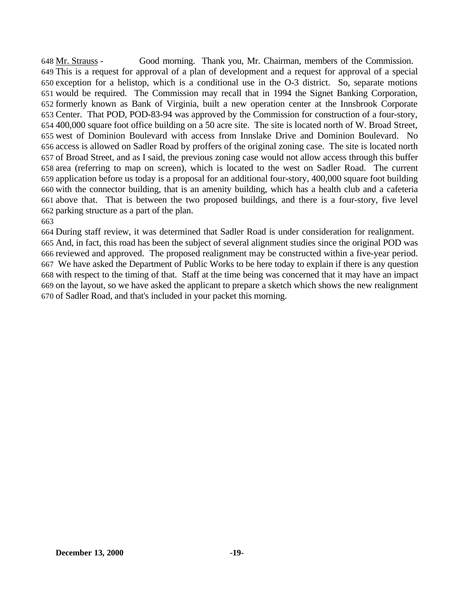Mr. Strauss - Good morning. Thank you, Mr. Chairman, members of the Commission. This is a request for approval of a plan of development and a request for approval of a special exception for a helistop, which is a conditional use in the O-3 district. So, separate motions would be required. The Commission may recall that in 1994 the Signet Banking Corporation, formerly known as Bank of Virginia, built a new operation center at the Innsbrook Corporate Center. That POD, POD-83-94 was approved by the Commission for construction of a four-story, 400,000 square foot office building on a 50 acre site. The site is located north of W. Broad Street, west of Dominion Boulevard with access from Innslake Drive and Dominion Boulevard. No access is allowed on Sadler Road by proffers of the original zoning case. The site is located north of Broad Street, and as I said, the previous zoning case would not allow access through this buffer area (referring to map on screen), which is located to the west on Sadler Road. The current application before us today is a proposal for an additional four-story, 400,000 square foot building with the connector building, that is an amenity building, which has a health club and a cafeteria above that. That is between the two proposed buildings, and there is a four-story, five level parking structure as a part of the plan.

During staff review, it was determined that Sadler Road is under consideration for realignment.

 And, in fact, this road has been the subject of several alignment studies since the original POD was reviewed and approved. The proposed realignment may be constructed within a five-year period. We have asked the Department of Public Works to be here today to explain if there is any question with respect to the timing of that. Staff at the time being was concerned that it may have an impact on the layout, so we have asked the applicant to prepare a sketch which shows the new realignment of Sadler Road, and that's included in your packet this morning.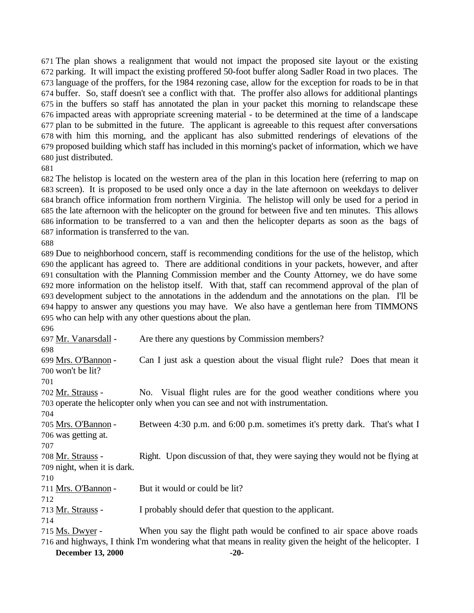The plan shows a realignment that would not impact the proposed site layout or the existing parking. It will impact the existing proffered 50-foot buffer along Sadler Road in two places. The 673 language of the proffers, for the 1984 rezoning case, allow for the exception for roads to be in that buffer. So, staff doesn't see a conflict with that. The proffer also allows for additional plantings in the buffers so staff has annotated the plan in your packet this morning to relandscape these impacted areas with appropriate screening material - to be determined at the time of a landscape plan to be submitted in the future. The applicant is agreeable to this request after conversations with him this morning, and the applicant has also submitted renderings of elevations of the proposed building which staff has included in this morning's packet of information, which we have just distributed.

 The helistop is located on the western area of the plan in this location here (referring to map on screen). It is proposed to be used only once a day in the late afternoon on weekdays to deliver branch office information from northern Virginia. The helistop will only be used for a period in the late afternoon with the helicopter on the ground for between five and ten minutes. This allows information to be transferred to a van and then the helicopter departs as soon as the bags of information is transferred to the van.

 Due to neighborhood concern, staff is recommending conditions for the use of the helistop, which the applicant has agreed to. There are additional conditions in your packets, however, and after consultation with the Planning Commission member and the County Attorney, we do have some more information on the helistop itself. With that, staff can recommend approval of the plan of development subject to the annotations in the addendum and the annotations on the plan. I'll be happy to answer any questions you may have. We also have a gentleman here from TIMMONS who can help with any other questions about the plan.

**December 13, 2000 -20-** 697 Mr. Vanarsdall - Are there any questions by Commission members? Mrs. O'Bannon - Can I just ask a question about the visual flight rule? Does that mean it won't be lit? 702 Mr. Strauss - No. Visual flight rules are for the good weather conditions where you operate the helicopter only when you can see and not with instrumentation. 705 Mrs. O'Bannon - Between 4:30 p.m. and 6:00 p.m. sometimes it's pretty dark. That's what I was getting at. Mr. Strauss - Right. Upon discussion of that, they were saying they would not be flying at night, when it is dark. Mrs. O'Bannon - But it would or could be lit? 713 Mr. Strauss - I probably should defer that question to the applicant. 715 Ms. Dwyer - When you say the flight path would be confined to air space above roads and highways, I think I'm wondering what that means in reality given the height of the helicopter. I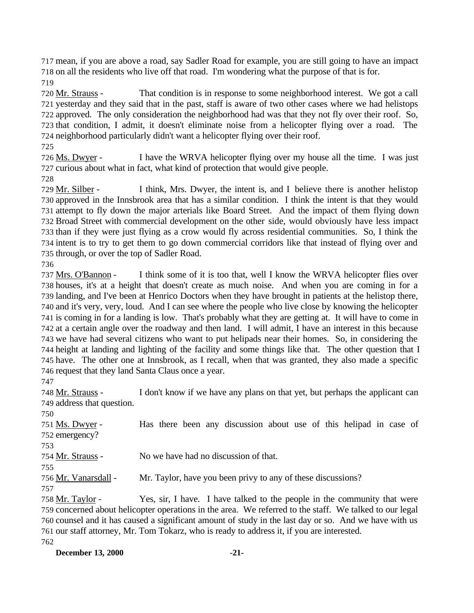mean, if you are above a road, say Sadler Road for example, you are still going to have an impact on all the residents who live off that road. I'm wondering what the purpose of that is for.

720 Mr. Strauss - That condition is in response to some neighborhood interest. We got a call yesterday and they said that in the past, staff is aware of two other cases where we had helistops approved. The only consideration the neighborhood had was that they not fly over their roof. So, that condition, I admit, it doesn't eliminate noise from a helicopter flying over a road. The neighborhood particularly didn't want a helicopter flying over their roof.

726 Ms. Dwyer - I have the WRVA helicopter flying over my house all the time. I was just curious about what in fact, what kind of protection that would give people.

729 Mr. Silber - I think, Mrs. Dwyer, the intent is, and I believe there is another helistop approved in the Innsbrook area that has a similar condition. I think the intent is that they would attempt to fly down the major arterials like Board Street. And the impact of them flying down Broad Street with commercial development on the other side, would obviously have less impact than if they were just flying as a crow would fly across residential communities. So, I think the intent is to try to get them to go down commercial corridors like that instead of flying over and through, or over the top of Sadler Road.

 Mrs. O'Bannon - I think some of it is too that, well I know the WRVA helicopter flies over houses, it's at a height that doesn't create as much noise. And when you are coming in for a landing, and I've been at Henrico Doctors when they have brought in patients at the helistop there, and it's very, very, loud. And I can see where the people who live close by knowing the helicopter is coming in for a landing is low. That's probably what they are getting at. It will have to come in at a certain angle over the roadway and then land. I will admit, I have an interest in this because we have had several citizens who want to put helipads near their homes. So, in considering the height at landing and lighting of the facility and some things like that. The other question that I have. The other one at Innsbrook, as I recall, when that was granted, they also made a specific request that they land Santa Claus once a year.

 Mr. Strauss - I don't know if we have any plans on that yet, but perhaps the applicant can address that question.

 Ms. Dwyer - Has there been any discussion about use of this helipad in case of emergency? Mr. Strauss - No we have had no discussion of that. 756 Mr. Vanarsdall - Mr. Taylor, have you been privy to any of these discussions? 758 Mr. Taylor - Yes, sir, I have. I have talked to the people in the community that were

 concerned about helicopter operations in the area. We referred to the staff. We talked to our legal counsel and it has caused a significant amount of study in the last day or so. And we have with us our staff attorney, Mr. Tom Tokarz, who is ready to address it, if you are interested.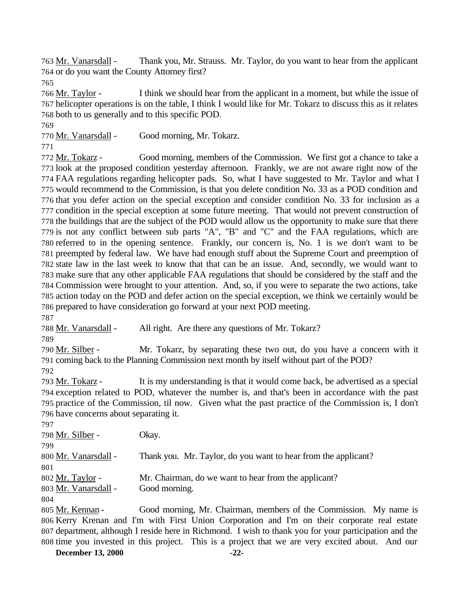Mr. Vanarsdall - Thank you, Mr. Strauss. Mr. Taylor, do you want to hear from the applicant or do you want the County Attorney first?

766 Mr. Taylor - I think we should hear from the applicant in a moment, but while the issue of helicopter operations is on the table, I think I would like for Mr. Tokarz to discuss this as it relates both to us generally and to this specific POD.

770 Mr. Vanarsdall - Good morning, Mr. Tokarz.

772 Mr. Tokarz - Good morning, members of the Commission. We first got a chance to take a look at the proposed condition yesterday afternoon. Frankly, we are not aware right now of the FAA regulations regarding helicopter pads. So, what I have suggested to Mr. Taylor and what I would recommend to the Commission, is that you delete condition No. 33 as a POD condition and that you defer action on the special exception and consider condition No. 33 for inclusion as a condition in the special exception at some future meeting. That would not prevent construction of the buildings that are the subject of the POD would allow us the opportunity to make sure that there is not any conflict between sub parts "A", "B" and "C" and the FAA regulations, which are referred to in the opening sentence. Frankly, our concern is, No. 1 is we don't want to be preempted by federal law. We have had enough stuff about the Supreme Court and preemption of state law in the last week to know that that can be an issue. And, secondly, we would want to make sure that any other applicable FAA regulations that should be considered by the staff and the Commission were brought to your attention. And, so, if you were to separate the two actions, take action today on the POD and defer action on the special exception, we think we certainly would be prepared to have consideration go forward at your next POD meeting.

Mr. Vanarsdall - All right. Are there any questions of Mr. Tokarz?

790 Mr. Silber - Mr. Tokarz, by separating these two out, do you have a concern with it coming back to the Planning Commission next month by itself without part of the POD? 

 Mr. Tokarz - It is my understanding is that it would come back, be advertised as a special exception related to POD, whatever the number is, and that's been in accordance with the past practice of the Commission, til now. Given what the past practice of the Commission is, I don't have concerns about separating it.

| 797                  |                                                                                              |
|----------------------|----------------------------------------------------------------------------------------------|
| 798 Mr. Silber -     | Okay.                                                                                        |
| 799                  |                                                                                              |
| 800 Mr. Vanarsdall - | Thank you. Mr. Taylor, do you want to hear from the applicant?                               |
| 801                  |                                                                                              |
| 802 Mr. Taylor -     | Mr. Chairman, do we want to hear from the applicant?                                         |
| 803 Mr. Vanarsdall - | Good morning.                                                                                |
| 804                  |                                                                                              |
| 805 Mr. Kennan -     | Good morning, Mr. Chairman, members of the Commission. My name is                            |
|                      | 806 Kerry Krenan and I'm with First Union Corporation and I'm on their corporate real estate |

 Kerry Krenan and I'm with First Union Corporation and I'm on their corporate real estate department, although I reside here in Richmond. I wish to thank you for your participation and the time you invested in this project. This is a project that we are very excited about. And our

**December 13, 2000 -22-**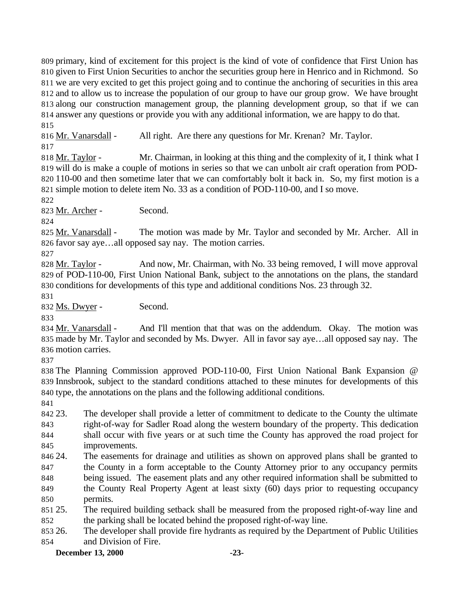primary, kind of excitement for this project is the kind of vote of confidence that First Union has given to First Union Securities to anchor the securities group here in Henrico and in Richmond. So we are very excited to get this project going and to continue the anchoring of securities in this area and to allow us to increase the population of our group to have our group grow. We have brought along our construction management group, the planning development group, so that if we can answer any questions or provide you with any additional information, we are happy to do that. 

816 Mr. Vanarsdall - All right. Are there any questions for Mr. Krenan? Mr. Taylor. 

 Mr. Taylor - Mr. Chairman, in looking at this thing and the complexity of it, I think what I will do is make a couple of motions in series so that we can unbolt air craft operation from POD- 110-00 and then sometime later that we can comfortably bolt it back in. So, my first motion is a simple motion to delete item No. 33 as a condition of POD-110-00, and I so move.

Mr. Archer - Second.

 Mr. Vanarsdall - The motion was made by Mr. Taylor and seconded by Mr. Archer. All in favor say aye…all opposed say nay. The motion carries.

828 Mr. Taylor - And now, Mr. Chairman, with No. 33 being removed, I will move approval of POD-110-00, First Union National Bank, subject to the annotations on the plans, the standard conditions for developments of this type and additional conditions Nos. 23 through 32.

832 Ms. Dwyer - Second.

 Mr. Vanarsdall - And I'll mention that that was on the addendum. Okay. The motion was made by Mr. Taylor and seconded by Ms. Dwyer. All in favor say aye…all opposed say nay. The motion carries.

 The Planning Commission approved POD-110-00, First Union National Bank Expansion @ Innsbrook, subject to the standard conditions attached to these minutes for developments of this type, the annotations on the plans and the following additional conditions.

 23. The developer shall provide a letter of commitment to dedicate to the County the ultimate right-of-way for Sadler Road along the western boundary of the property. This dedication shall occur with five years or at such time the County has approved the road project for improvements.

 24. The easements for drainage and utilities as shown on approved plans shall be granted to the County in a form acceptable to the County Attorney prior to any occupancy permits being issued. The easement plats and any other required information shall be submitted to

- 849 the County Real Property Agent at least sixty (60) days prior to requesting occupancy permits.
- 25. The required building setback shall be measured from the proposed right-of-way line and the parking shall be located behind the proposed right-of-way line.
- 26. The developer shall provide fire hydrants as required by the Department of Public Utilities and Division of Fire.

**December 13, 2000 -23-**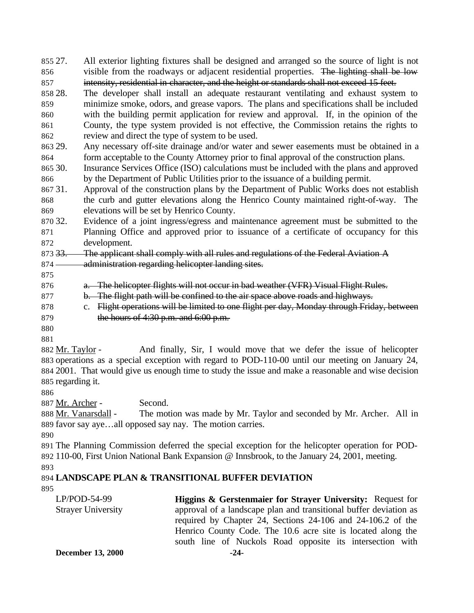27. All exterior lighting fixtures shall be designed and arranged so the source of light is not 856 visible from the roadways or adjacent residential properties. The lighting shall be low intensity, residential in character, and the height or standards shall not exceed 15 feet.

 28. The developer shall install an adequate restaurant ventilating and exhaust system to minimize smoke, odors, and grease vapors. The plans and specifications shall be included with the building permit application for review and approval. If, in the opinion of the County, the type system provided is not effective, the Commission retains the rights to review and direct the type of system to be used.

 29. Any necessary off-site drainage and/or water and sewer easements must be obtained in a form acceptable to the County Attorney prior to final approval of the construction plans.

 30. Insurance Services Office (ISO) calculations must be included with the plans and approved by the Department of Public Utilities prior to the issuance of a building permit.

 31. Approval of the construction plans by the Department of Public Works does not establish the curb and gutter elevations along the Henrico County maintained right-of-way. The elevations will be set by Henrico County.

 32. Evidence of a joint ingress/egress and maintenance agreement must be submitted to the Planning Office and approved prior to issuance of a certificate of occupancy for this development.

873 33. The applicant shall comply with all rules and regulations of the Federal Aviation A

874 — administration regarding helicopter landing sites.

a. The helicopter flights will not occur in bad weather (VFR) Visual Flight Rules.

- b. The flight path will be confined to the air space above roads and highways.
- 878 c. Flight operations will be limited to one flight per day, Monday through Friday, between 879 the hours of 4:30 p.m. and 6:00 p.m.
- 
- 

 Mr. Taylor - And finally, Sir, I would move that we defer the issue of helicopter operations as a special exception with regard to POD-110-00 until our meeting on January 24, 2001. That would give us enough time to study the issue and make a reasonable and wise decision regarding it.

887 Mr. Archer - Second.

 Mr. Vanarsdall - The motion was made by Mr. Taylor and seconded by Mr. Archer. All in favor say aye…all opposed say nay. The motion carries.

 The Planning Commission deferred the special exception for the helicopter operation for POD-110-00, First Union National Bank Expansion @ Innsbrook, to the January 24, 2001, meeting.

# **LANDSCAPE PLAN & TRANSITIONAL BUFFER DEVIATION**

**December 13, 2000 -24-** LP/POD-54-99 Strayer University **Higgins & Gerstenmaier for Strayer University:** Request for approval of a landscape plan and transitional buffer deviation as required by Chapter 24, Sections 24-106 and 24-106.2 of the Henrico County Code. The 10.6 acre site is located along the south line of Nuckols Road opposite its intersection with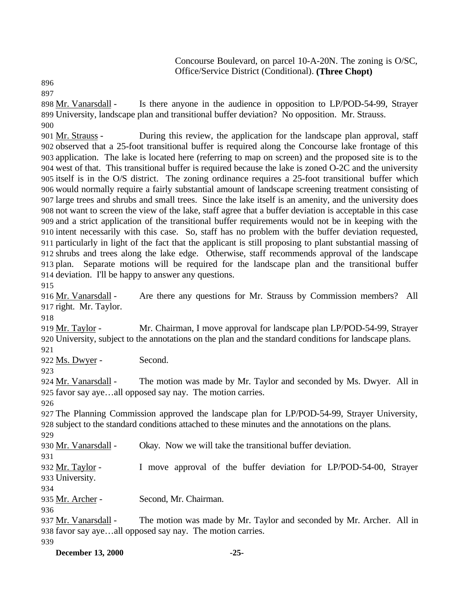Concourse Boulevard, on parcel 10-A-20N. The zoning is O/SC, Office/Service District (Conditional). **(Three Chopt)**

 Mr. Vanarsdall - Is there anyone in the audience in opposition to LP/POD-54-99, Strayer University, landscape plan and transitional buffer deviation? No opposition. Mr. Strauss. 

901 Mr. Strauss - During this review, the application for the landscape plan approval, staff observed that a 25-foot transitional buffer is required along the Concourse lake frontage of this application. The lake is located here (referring to map on screen) and the proposed site is to the west of that. This transitional buffer is required because the lake is zoned O-2C and the university itself is in the O/S district. The zoning ordinance requires a 25-foot transitional buffer which would normally require a fairly substantial amount of landscape screening treatment consisting of large trees and shrubs and small trees. Since the lake itself is an amenity, and the university does not want to screen the view of the lake, staff agree that a buffer deviation is acceptable in this case and a strict application of the transitional buffer requirements would not be in keeping with the intent necessarily with this case. So, staff has no problem with the buffer deviation requested, particularly in light of the fact that the applicant is still proposing to plant substantial massing of shrubs and trees along the lake edge. Otherwise, staff recommends approval of the landscape plan. Separate motions will be required for the landscape plan and the transitional buffer deviation. I'll be happy to answer any questions.

 Mr. Vanarsdall - Are there any questions for Mr. Strauss by Commission members? All right. Mr. Taylor.

 Mr. Taylor - Mr. Chairman, I move approval for landscape plan LP/POD-54-99, Strayer University, subject to the annotations on the plan and the standard conditions for landscape plans. 

922 Ms. Dwyer - Second.

 Mr. Vanarsdall - The motion was made by Mr. Taylor and seconded by Ms. Dwyer. All in favor say aye…all opposed say nay. The motion carries.

 The Planning Commission approved the landscape plan for LP/POD-54-99, Strayer University, subject to the standard conditions attached to these minutes and the annotations on the plans. 

Mr. Vanarsdall - Okay. Now we will take the transitional buffer deviation.

 932 Mr. Taylor - I move approval of the buffer deviation for LP/POD-54-00, Strayer

University.

Mr. Archer - Second, Mr. Chairman.

 Mr. Vanarsdall - The motion was made by Mr. Taylor and seconded by Mr. Archer. All in favor say aye…all opposed say nay. The motion carries. 

**December 13, 2000 -25-**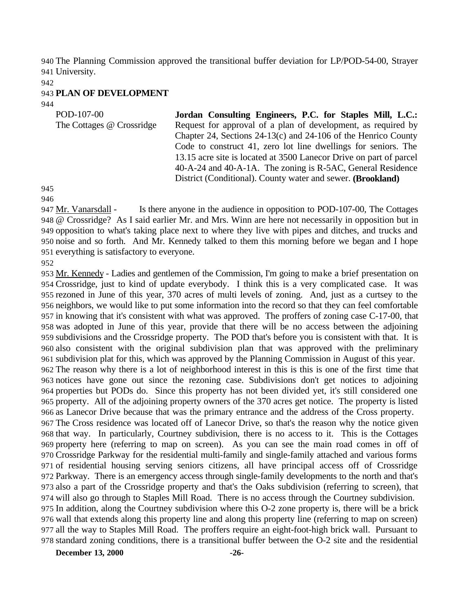The Planning Commission approved the transitional buffer deviation for LP/POD-54-00, Strayer University.

#### **PLAN OF DEVELOPMENT**

| POD-107-00                | Jordan Consulting Engineers, P.C. for Staples Mill, L.C.:            |
|---------------------------|----------------------------------------------------------------------|
| The Cottages @ Crossridge | Request for approval of a plan of development, as required by        |
|                           | Chapter 24, Sections $24-13(c)$ and $24-106$ of the Henrico County   |
|                           | Code to construct 41, zero lot line dwellings for seniors. The       |
|                           | 13.15 acre site is located at 3500 Lanecor Drive on part of parcel   |
|                           | 40-A-24 and 40-A-1A. The zoning is R-5AC, General Residence          |
|                           | District (Conditional). County water and sewer. ( <b>Brookland</b> ) |
|                           |                                                                      |

 

947 Mr. Vanarsdall - Is there anyone in the audience in opposition to POD-107-00, The Cottages @ Crossridge? As I said earlier Mr. and Mrs. Winn are here not necessarily in opposition but in opposition to what's taking place next to where they live with pipes and ditches, and trucks and noise and so forth. And Mr. Kennedy talked to them this morning before we began and I hope everything is satisfactory to everyone.

 Mr. Kennedy - Ladies and gentlemen of the Commission, I'm going to make a brief presentation on Crossridge, just to kind of update everybody. I think this is a very complicated case. It was rezoned in June of this year, 370 acres of multi levels of zoning. And, just as a curtsey to the neighbors, we would like to put some information into the record so that they can feel comfortable in knowing that it's consistent with what was approved. The proffers of zoning case C-17-00, that was adopted in June of this year, provide that there will be no access between the adjoining subdivisions and the Crossridge property. The POD that's before you is consistent with that. It is also consistent with the original subdivision plan that was approved with the preliminary subdivision plat for this, which was approved by the Planning Commission in August of this year. The reason why there is a lot of neighborhood interest in this is this is one of the first time that notices have gone out since the rezoning case. Subdivisions don't get notices to adjoining properties but PODs do. Since this property has not been divided yet, it's still considered one property. All of the adjoining property owners of the 370 acres get notice. The property is listed as Lanecor Drive because that was the primary entrance and the address of the Cross property. The Cross residence was located off of Lanecor Drive, so that's the reason why the notice given that way. In particularly, Courtney subdivision, there is no access to it. This is the Cottages property here (referring to map on screen). As you can see the main road comes in off of Crossridge Parkway for the residential multi-family and single-family attached and various forms of residential housing serving seniors citizens, all have principal access off of Crossridge Parkway. There is an emergency access through single-family developments to the north and that's also a part of the Crossridge property and that's the Oaks subdivision (referring to screen), that will also go through to Staples Mill Road. There is no access through the Courtney subdivision. In addition, along the Courtney subdivision where this O-2 zone property is, there will be a brick wall that extends along this property line and along this property line (referring to map on screen) all the way to Staples Mill Road. The proffers require an eight-foot-high brick wall. Pursuant to standard zoning conditions, there is a transitional buffer between the O-2 site and the residential

**December 13, 2000 -26-**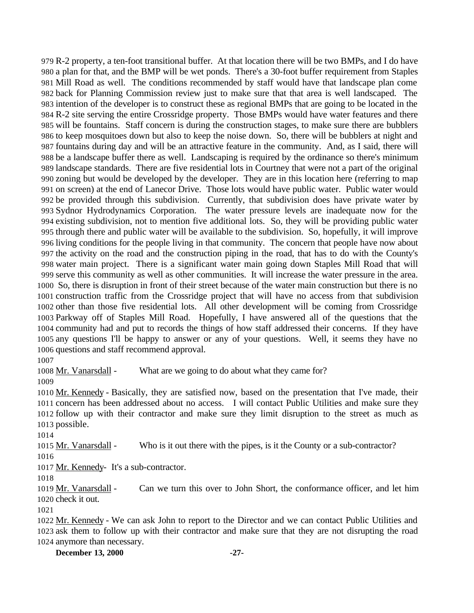R-2 property, a ten-foot transitional buffer. At that location there will be two BMPs, and I do have a plan for that, and the BMP will be wet ponds. There's a 30-foot buffer requirement from Staples Mill Road as well. The conditions recommended by staff would have that landscape plan come back for Planning Commission review just to make sure that that area is well landscaped. The intention of the developer is to construct these as regional BMPs that are going to be located in the R-2 site serving the entire Crossridge property. Those BMPs would have water features and there will be fountains. Staff concern is during the construction stages, to make sure there are bubblers to keep mosquitoes down but also to keep the noise down. So, there will be bubblers at night and fountains during day and will be an attractive feature in the community. And, as I said, there will be a landscape buffer there as well. Landscaping is required by the ordinance so there's minimum landscape standards. There are five residential lots in Courtney that were not a part of the original zoning but would be developed by the developer. They are in this location here (referring to map on screen) at the end of Lanecor Drive. Those lots would have public water. Public water would be provided through this subdivision. Currently, that subdivision does have private water by Sydnor Hydrodynamics Corporation. The water pressure levels are inadequate now for the existing subdivision, not to mention five additional lots. So, they will be providing public water through there and public water will be available to the subdivision. So, hopefully, it will improve living conditions for the people living in that community. The concern that people have now about the activity on the road and the construction piping in the road, that has to do with the County's water main project. There is a significant water main going down Staples Mill Road that will serve this community as well as other communities. It will increase the water pressure in the area. So, there is disruption in front of their street because of the water main construction but there is no construction traffic from the Crossridge project that will have no access from that subdivision other than those five residential lots. All other development will be coming from Crossridge Parkway off of Staples Mill Road. Hopefully, I have answered all of the questions that the community had and put to records the things of how staff addressed their concerns. If they have any questions I'll be happy to answer or any of your questions. Well, it seems they have no questions and staff recommend approval.

Mr. Vanarsdall - What are we going to do about what they came for?

 Mr. Kennedy - Basically, they are satisfied now, based on the presentation that I've made, their concern has been addressed about no access. I will contact Public Utilities and make sure they follow up with their contractor and make sure they limit disruption to the street as much as possible.

Mr. Vanarsdall - Who is it out there with the pipes, is it the County or a sub-contractor?

1017 Mr. Kennedy- It's a sub-contractor.

 Mr. Vanarsdall - Can we turn this over to John Short, the conformance officer, and let him check it out.

 Mr. Kennedy - We can ask John to report to the Director and we can contact Public Utilities and ask them to follow up with their contractor and make sure that they are not disrupting the road anymore than necessary.

**December 13, 2000 -27-**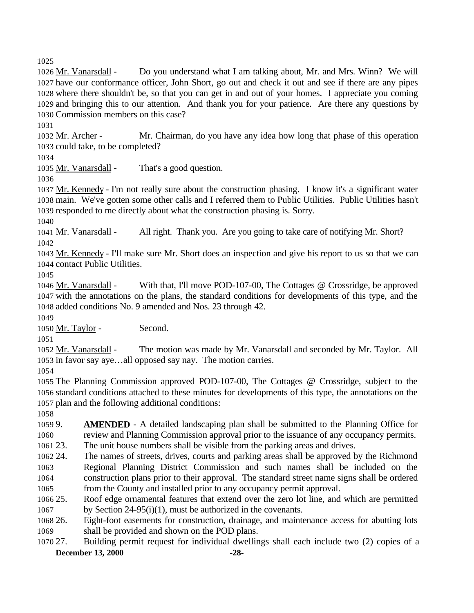Mr. Vanarsdall - Do you understand what I am talking about, Mr. and Mrs. Winn? We will have our conformance officer, John Short, go out and check it out and see if there are any pipes where there shouldn't be, so that you can get in and out of your homes. I appreciate you coming and bringing this to our attention. And thank you for your patience. Are there any questions by Commission members on this case?

1032 Mr. Archer - Mr. Chairman, do you have any idea how long that phase of this operation could take, to be completed?

Mr. Vanarsdall - That's a good question.

 Mr. Kennedy - I'm not really sure about the construction phasing. I know it's a significant water main. We've gotten some other calls and I referred them to Public Utilities. Public Utilities hasn't responded to me directly about what the construction phasing is. Sorry.

 Mr. Vanarsdall - All right. Thank you. Are you going to take care of notifying Mr. Short? 

 Mr. Kennedy - I'll make sure Mr. Short does an inspection and give his report to us so that we can contact Public Utilities.

 Mr. Vanarsdall - With that, I'll move POD-107-00, The Cottages @ Crossridge, be approved with the annotations on the plans, the standard conditions for developments of this type, and the added conditions No. 9 amended and Nos. 23 through 42.

1050 Mr. Taylor - Second.

 Mr. Vanarsdall - The motion was made by Mr. Vanarsdall and seconded by Mr. Taylor. All in favor say aye…all opposed say nay. The motion carries.

 The Planning Commission approved POD-107-00, The Cottages @ Crossridge, subject to the standard conditions attached to these minutes for developments of this type, the annotations on the plan and the following additional conditions:

 9. **AMENDED** - A detailed landscaping plan shall be submitted to the Planning Office for review and Planning Commission approval prior to the issuance of any occupancy permits.

23. The unit house numbers shall be visible from the parking areas and drives.

- 24. The names of streets, drives, courts and parking areas shall be approved by the Richmond Regional Planning District Commission and such names shall be included on the construction plans prior to their approval. The standard street name signs shall be ordered from the County and installed prior to any occupancy permit approval.
- 25. Roof edge ornamental features that extend over the zero lot line, and which are permitted 1067 by Section 24-95(i)(1), must be authorized in the covenants.
- 26. Eight-foot easements for construction, drainage, and maintenance access for abutting lots shall be provided and shown on the POD plans.
- **December 13, 2000 -28-** 27. Building permit request for individual dwellings shall each include two (2) copies of a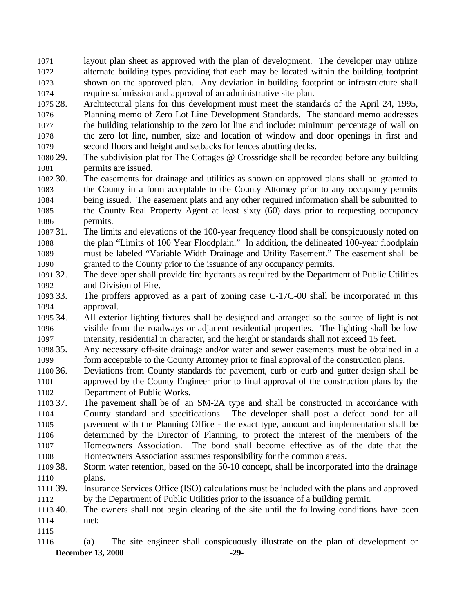layout plan sheet as approved with the plan of development. The developer may utilize alternate building types providing that each may be located within the building footprint shown on the approved plan. Any deviation in building footprint or infrastructure shall require submission and approval of an administrative site plan.

 28. Architectural plans for this development must meet the standards of the April 24, 1995, Planning memo of Zero Lot Line Development Standards. The standard memo addresses the building relationship to the zero lot line and include: minimum percentage of wall on the zero lot line, number, size and location of window and door openings in first and second floors and height and setbacks for fences abutting decks.

 29. The subdivision plat for The Cottages @ Crossridge shall be recorded before any building permits are issued.

 30. The easements for drainage and utilities as shown on approved plans shall be granted to the County in a form acceptable to the County Attorney prior to any occupancy permits being issued. The easement plats and any other required information shall be submitted to the County Real Property Agent at least sixty (60) days prior to requesting occupancy permits.

 31. The limits and elevations of the 100-year frequency flood shall be conspicuously noted on the plan "Limits of 100 Year Floodplain." In addition, the delineated 100-year floodplain must be labeled "Variable Width Drainage and Utility Easement." The easement shall be granted to the County prior to the issuance of any occupancy permits.

 32. The developer shall provide fire hydrants as required by the Department of Public Utilities and Division of Fire.

 33. The proffers approved as a part of zoning case C-17C-00 shall be incorporated in this approval.

 34. All exterior lighting fixtures shall be designed and arranged so the source of light is not visible from the roadways or adjacent residential properties. The lighting shall be low intensity, residential in character, and the height or standards shall not exceed 15 feet.

 35. Any necessary off-site drainage and/or water and sewer easements must be obtained in a form acceptable to the County Attorney prior to final approval of the construction plans.

 36. Deviations from County standards for pavement, curb or curb and gutter design shall be approved by the County Engineer prior to final approval of the construction plans by the Department of Public Works.

 37. The pavement shall be of an SM-2A type and shall be constructed in accordance with County standard and specifications. The developer shall post a defect bond for all pavement with the Planning Office - the exact type, amount and implementation shall be determined by the Director of Planning, to protect the interest of the members of the Homeowners Association. The bond shall become effective as of the date that the Homeowners Association assumes responsibility for the common areas.

 38. Storm water retention, based on the 50-10 concept, shall be incorporated into the drainage plans.

 39. Insurance Services Office (ISO) calculations must be included with the plans and approved by the Department of Public Utilities prior to the issuance of a building permit.

 40. The owners shall not begin clearing of the site until the following conditions have been met:

**December 13, 2000 -29-** (a) The site engineer shall conspicuously illustrate on the plan of development or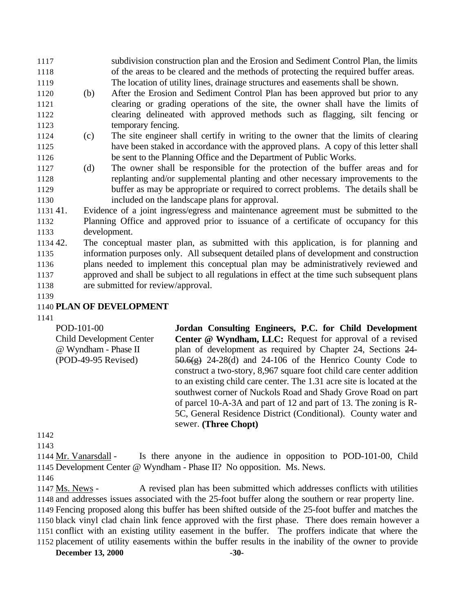- subdivision construction plan and the Erosion and Sediment Control Plan, the limits of the areas to be cleared and the methods of protecting the required buffer areas.
- The location of utility lines, drainage structures and easements shall be shown.
- (b) After the Erosion and Sediment Control Plan has been approved but prior to any clearing or grading operations of the site, the owner shall have the limits of clearing delineated with approved methods such as flagging, silt fencing or temporary fencing.
- (c) The site engineer shall certify in writing to the owner that the limits of clearing have been staked in accordance with the approved plans. A copy of this letter shall be sent to the Planning Office and the Department of Public Works.
- (d) The owner shall be responsible for the protection of the buffer areas and for replanting and/or supplemental planting and other necessary improvements to the buffer as may be appropriate or required to correct problems. The details shall be included on the landscape plans for approval.
- 41. Evidence of a joint ingress/egress and maintenance agreement must be submitted to the Planning Office and approved prior to issuance of a certificate of occupancy for this development.
- 42. The conceptual master plan, as submitted with this application, is for planning and information purposes only. All subsequent detailed plans of development and construction plans needed to implement this conceptual plan may be administratively reviewed and approved and shall be subject to all regulations in effect at the time such subsequent plans are submitted for review/approval.
- 

# **PLAN OF DEVELOPMENT**

POD-101-00 Child Development Center @ Wyndham - Phase II (POD-49-95 Revised) **Jordan Consulting Engineers, P.C. for Child Development Center @ Wyndham, LLC:** Request for approval of a revised plan of development as required by Chapter 24, Sections 24-  $50.6(g)$  24-28(d) and 24-106 of the Henrico County Code to construct a two-story, 8,967 square foot child care center addition to an existing child care center. The 1.31 acre site is located at the southwest corner of Nuckols Road and Shady Grove Road on part of parcel 10-A-3A and part of 12 and part of 13. The zoning is R-5C, General Residence District (Conditional). County water and sewer. **(Three Chopt)**

 

 Mr. Vanarsdall - Is there anyone in the audience in opposition to POD-101-00, Child Development Center @ Wyndham - Phase II? No opposition. Ms. News.

 Ms. News - A revised plan has been submitted which addresses conflicts with utilities and addresses issues associated with the 25-foot buffer along the southern or rear property line.

 Fencing proposed along this buffer has been shifted outside of the 25-foot buffer and matches the black vinyl clad chain link fence approved with the first phase. There does remain however a conflict with an existing utility easement in the buffer. The proffers indicate that where the placement of utility easements within the buffer results in the inability of the owner to provide

**December 13, 2000 -30-**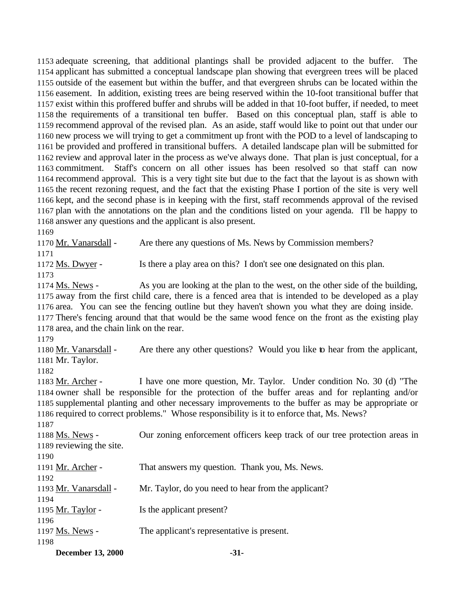adequate screening, that additional plantings shall be provided adjacent to the buffer. The applicant has submitted a conceptual landscape plan showing that evergreen trees will be placed outside of the easement but within the buffer, and that evergreen shrubs can be located within the easement. In addition, existing trees are being reserved within the 10-foot transitional buffer that exist within this proffered buffer and shrubs will be added in that 10-foot buffer, if needed, to meet the requirements of a transitional ten buffer. Based on this conceptual plan, staff is able to recommend approval of the revised plan. As an aside, staff would like to point out that under our new process we will trying to get a commitment up front with the POD to a level of landscaping to be provided and proffered in transitional buffers. A detailed landscape plan will be submitted for review and approval later in the process as we've always done. That plan is just conceptual, for a commitment. Staff's concern on all other issues has been resolved so that staff can now recommend approval. This is a very tight site but due to the fact that the layout is as shown with the recent rezoning request, and the fact that the existing Phase I portion of the site is very well kept, and the second phase is in keeping with the first, staff recommends approval of the revised plan with the annotations on the plan and the conditions listed on your agenda. I'll be happy to answer any questions and the applicant is also present.

1170 Mr. Vanarsdall - Are there any questions of Ms. News by Commission members? 1172 Ms. Dwyer - Is there a play area on this? I don't see one designated on this plan.

 Ms. News - As you are looking at the plan to the west, on the other side of the building, away from the first child care, there is a fenced area that is intended to be developed as a play area. You can see the fencing outline but they haven't shown you what they are doing inside.

 There's fencing around that that would be the same wood fence on the front as the existing play area, and the chain link on the rear.

1180 Mr. Vanarsdall - Are there any other questions? Would you like to hear from the applicant, Mr. Taylor.

 Mr. Archer - I have one more question, Mr. Taylor. Under condition No. 30 (d) "The owner shall be responsible for the protection of the buffer areas and for replanting and/or supplemental planting and other necessary improvements to the buffer as may be appropriate or required to correct problems." Whose responsibility is it to enforce that, Ms. News? 

| 1101                     |                                                                            |
|--------------------------|----------------------------------------------------------------------------|
| 1188 Ms. News -          | Our zoning enforcement officers keep track of our tree protection areas in |
| 1189 reviewing the site. |                                                                            |
| 1190                     |                                                                            |
| 1191 Mr. Archer -        | That answers my question. Thank you, Ms. News.                             |
| 1192                     |                                                                            |
| 1193 Mr. Vanarsdall -    | Mr. Taylor, do you need to hear from the applicant?                        |
| 1194                     |                                                                            |
| 1195 Mr. Taylor -        | Is the applicant present?                                                  |
| 1196                     |                                                                            |
| 1197 Ms. News -          | The applicant's representative is present.                                 |
| 1198                     |                                                                            |
|                          |                                                                            |

**December 13, 2000 -31-**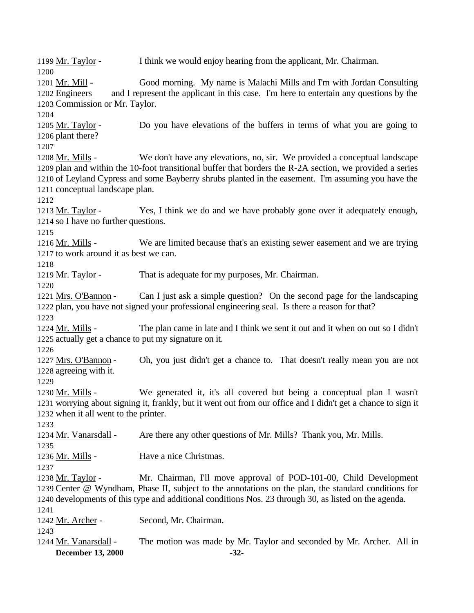**December 13, 2000 -32-** Mr. Taylor - I think we would enjoy hearing from the applicant, Mr. Chairman. Mr. Mill - Good morning. My name is Malachi Mills and I'm with Jordan Consulting Engineers and I represent the applicant in this case. I'm here to entertain any questions by the Commission or Mr. Taylor. 1205 Mr. Taylor - Do you have elevations of the buffers in terms of what you are going to plant there? Mr. Mills - We don't have any elevations, no, sir. We provided a conceptual landscape plan and within the 10-foot transitional buffer that borders the R-2A section, we provided a series of Leyland Cypress and some Bayberry shrubs planted in the easement. I'm assuming you have the conceptual landscape plan. Mr. Taylor - Yes, I think we do and we have probably gone over it adequately enough, so I have no further questions. 1216 Mr. Mills - We are limited because that's an existing sewer easement and we are trying to work around it as best we can. Mr. Taylor - That is adequate for my purposes, Mr. Chairman. 1221 Mrs. O'Bannon - Can I just ask a simple question? On the second page for the landscaping plan, you have not signed your professional engineering seal. Is there a reason for that? Mr. Mills - The plan came in late and I think we sent it out and it when on out so I didn't actually get a chance to put my signature on it. Mrs. O'Bannon - Oh, you just didn't get a chance to. That doesn't really mean you are not agreeing with it. Mr. Mills - We generated it, it's all covered but being a conceptual plan I wasn't worrying about signing it, frankly, but it went out from our office and I didn't get a chance to sign it when it all went to the printer. Mr. Vanarsdall - Are there any other questions of Mr. Mills? Thank you, Mr. Mills. Mr. Mills - Have a nice Christmas. Mr. Taylor - Mr. Chairman, I'll move approval of POD-101-00, Child Development Center @ Wyndham, Phase II, subject to the annotations on the plan, the standard conditions for developments of this type and additional conditions Nos. 23 through 30, as listed on the agenda. Mr. Archer - Second, Mr. Chairman. Mr. Vanarsdall - The motion was made by Mr. Taylor and seconded by Mr. Archer. All in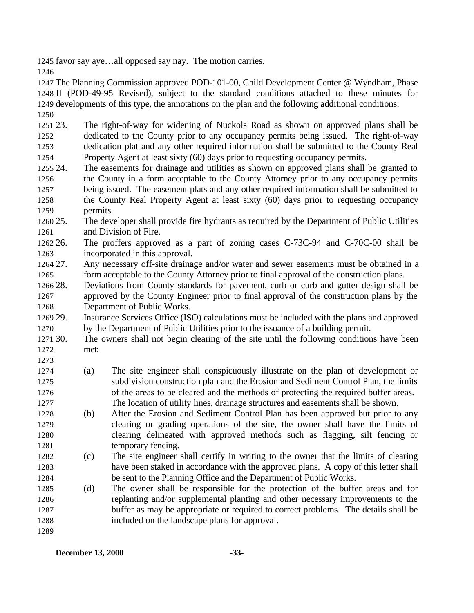favor say aye…all opposed say nay. The motion carries.

 The Planning Commission approved POD-101-00, Child Development Center @ Wyndham, Phase II (POD-49-95 Revised), subject to the standard conditions attached to these minutes for developments of this type, the annotations on the plan and the following additional conditions: 

 23. The right-of-way for widening of Nuckols Road as shown on approved plans shall be dedicated to the County prior to any occupancy permits being issued. The right-of-way dedication plat and any other required information shall be submitted to the County Real Property Agent at least sixty (60) days prior to requesting occupancy permits.

- 24. The easements for drainage and utilities as shown on approved plans shall be granted to the County in a form acceptable to the County Attorney prior to any occupancy permits being issued. The easement plats and any other required information shall be submitted to the County Real Property Agent at least sixty (60) days prior to requesting occupancy permits.
- 25. The developer shall provide fire hydrants as required by the Department of Public Utilities and Division of Fire.
- 26. The proffers approved as a part of zoning cases C-73C-94 and C-70C-00 shall be incorporated in this approval.
- 27. Any necessary off-site drainage and/or water and sewer easements must be obtained in a form acceptable to the County Attorney prior to final approval of the construction plans.
- 28. Deviations from County standards for pavement, curb or curb and gutter design shall be approved by the County Engineer prior to final approval of the construction plans by the Department of Public Works.

 29. Insurance Services Office (ISO) calculations must be included with the plans and approved by the Department of Public Utilities prior to the issuance of a building permit.

- 30. The owners shall not begin clearing of the site until the following conditions have been met:
- 
- (a) The site engineer shall conspicuously illustrate on the plan of development or subdivision construction plan and the Erosion and Sediment Control Plan, the limits of the areas to be cleared and the methods of protecting the required buffer areas. The location of utility lines, drainage structures and easements shall be shown.
- (b) After the Erosion and Sediment Control Plan has been approved but prior to any clearing or grading operations of the site, the owner shall have the limits of clearing delineated with approved methods such as flagging, silt fencing or 1281 temporary fencing.
- (c) The site engineer shall certify in writing to the owner that the limits of clearing have been staked in accordance with the approved plans. A copy of this letter shall be sent to the Planning Office and the Department of Public Works.
- (d) The owner shall be responsible for the protection of the buffer areas and for replanting and/or supplemental planting and other necessary improvements to the buffer as may be appropriate or required to correct problems. The details shall be included on the landscape plans for approval.
-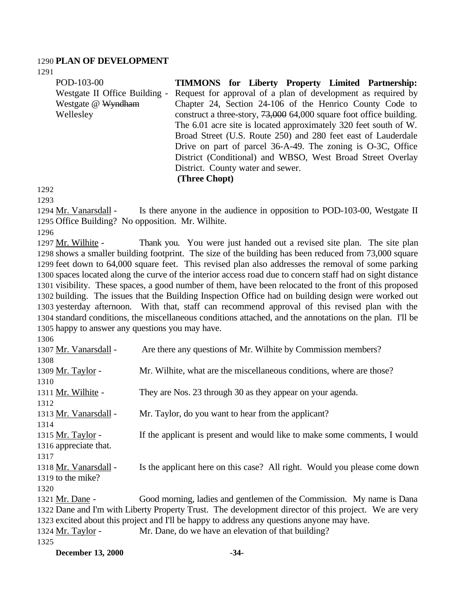#### 1290 **PLAN OF DEVELOPMENT**

1291

| POD-103-00                    | <b>TIMMONS</b> for Liberty Property Limited Partnership:              |
|-------------------------------|-----------------------------------------------------------------------|
| Westgate II Office Building - | Request for approval of a plan of development as required by          |
| Westgate @ Wyndham            | Chapter 24, Section 24-106 of the Henrico County Code to              |
| Wellesley                     | construct a three-story, $73,000$ 64,000 square foot office building. |
|                               | The 6.01 acre site is located approximately 320 feet south of W.      |
|                               | Broad Street (U.S. Route 250) and 280 feet east of Lauderdale         |
|                               | Drive on part of parcel 36-A-49. The zoning is O-3C, Office           |
|                               | District (Conditional) and WBSO, West Broad Street Overlay            |
|                               | District. County water and sewer.                                     |
|                               | $\sqrt{m}$ $\sqrt{m}$ $\sqrt{m}$                                      |

**(Three Chopt)**

1292

1293

1294 Mr. Vanarsdall - Is there anyone in the audience in opposition to POD-103-00, Westgate II 1295 Office Building? No opposition. Mr. Wilhite.

1296

1297 Mr. Wilhite - Thank you. You were just handed out a revised site plan. The site plan shows a smaller building footprint. The size of the building has been reduced from 73,000 square feet down to 64,000 square feet. This revised plan also addresses the removal of some parking spaces located along the curve of the interior access road due to concern staff had on sight distance visibility. These spaces, a good number of them, have been relocated to the front of this proposed building. The issues that the Building Inspection Office had on building design were worked out yesterday afternoon. With that, staff can recommend approval of this revised plan with the standard conditions, the miscellaneous conditions attached, and the annotations on the plan. I'll be happy to answer any questions you may have.

1306

| 1307 Mr. Vanarsdall - | Are there any questions of Mr. Wilhite by Commission members?                                        |
|-----------------------|------------------------------------------------------------------------------------------------------|
| 1308                  |                                                                                                      |
| 1309 Mr. Taylor -     | Mr. Wilhite, what are the miscellaneous conditions, where are those?                                 |
| 1310                  |                                                                                                      |
| 1311 Mr. Wilhite -    | They are Nos. 23 through 30 as they appear on your agenda.                                           |
| 1312                  |                                                                                                      |
| 1313 Mr. Vanarsdall - | Mr. Taylor, do you want to hear from the applicant?                                                  |
| 1314                  |                                                                                                      |
| 1315 Mr. Taylor -     | If the applicant is present and would like to make some comments, I would                            |
| 1316 appreciate that. |                                                                                                      |
| 1317                  |                                                                                                      |
| 1318 Mr. Vanarsdall - | Is the applicant here on this case? All right. Would you please come down                            |
| 1319 to the mike?     |                                                                                                      |
| 1320                  |                                                                                                      |
| 1321 Mr. Dane -       | Good morning, ladies and gentlemen of the Commission. My name is Dana                                |
|                       | 1322 Dane and I'm with Liberty Property Trust. The development director of this project. We are very |
|                       | 1323 excited about this project and I'll be happy to address any questions anyone may have.          |
| 1324 Mr. Taylor -     | Mr. Dane, do we have an elevation of that building?                                                  |
| 1325                  |                                                                                                      |

**December 13, 2000 -34-**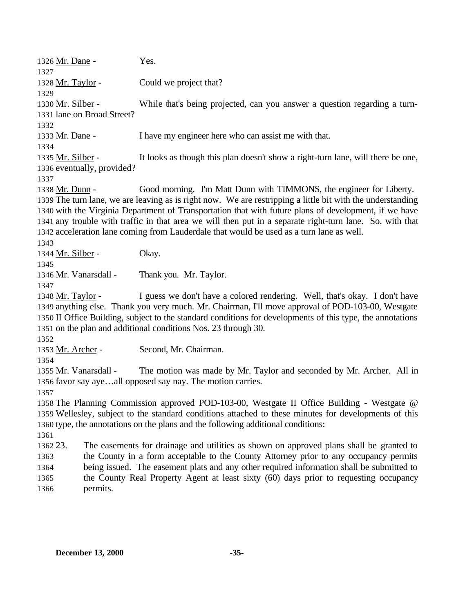1326 Mr. Dane - Yes. 1328 Mr. Taylor - Could we project that? Mr. Silber - While that's being projected, can you answer a question regarding a turn- lane on Broad Street? 1333 Mr. Dane - I have my engineer here who can assist me with that. 1335 Mr. Silber - It looks as though this plan doesn't show a right-turn lane, will there be one, eventually, provided? 1338 Mr. Dunn - Good morning. I'm Matt Dunn with TIMMONS, the engineer for Liberty. The turn lane, we are leaving as is right now. We are restripping a little bit with the understanding with the Virginia Department of Transportation that with future plans of development, if we have any trouble with traffic in that area we will then put in a separate right-turn lane. So, with that acceleration lane coming from Lauderdale that would be used as a turn lane as well. 1344 Mr. Silber - Okay. Mr. Vanarsdall - Thank you. Mr. Taylor. 1348 Mr. Taylor - I guess we don't have a colored rendering. Well, that's okay. I don't have anything else. Thank you very much. Mr. Chairman, I'll move approval of POD-103-00, Westgate II Office Building, subject to the standard conditions for developments of this type, the annotations on the plan and additional conditions Nos. 23 through 30. Mr. Archer - Second, Mr. Chairman. Mr. Vanarsdall - The motion was made by Mr. Taylor and seconded by Mr. Archer. All in favor say aye…all opposed say nay. The motion carries. The Planning Commission approved POD-103-00, Westgate II Office Building - Westgate @ Wellesley, subject to the standard conditions attached to these minutes for developments of this type, the annotations on the plans and the following additional conditions: 23. The easements for drainage and utilities as shown on approved plans shall be granted to the County in a form acceptable to the County Attorney prior to any occupancy permits being issued. The easement plats and any other required information shall be submitted to the County Real Property Agent at least sixty (60) days prior to requesting occupancy permits.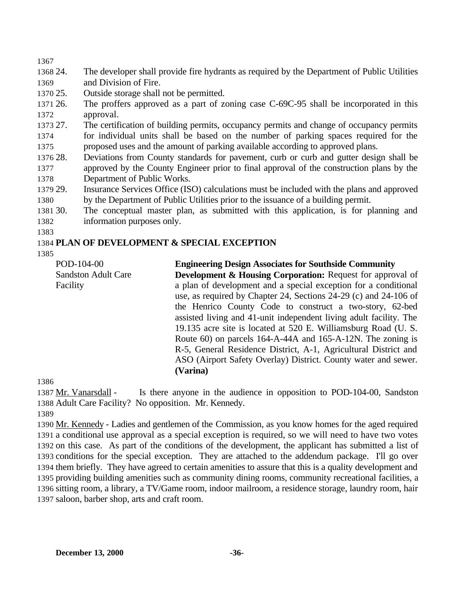24. The developer shall provide fire hydrants as required by the Department of Public Utilities and Division of Fire.

25. Outside storage shall not be permitted.

 26. The proffers approved as a part of zoning case C-69C-95 shall be incorporated in this approval.

 27. The certification of building permits, occupancy permits and change of occupancy permits for individual units shall be based on the number of parking spaces required for the proposed uses and the amount of parking available according to approved plans.

- 28. Deviations from County standards for pavement, curb or curb and gutter design shall be approved by the County Engineer prior to final approval of the construction plans by the Department of Public Works.
- 29. Insurance Services Office (ISO) calculations must be included with the plans and approved by the Department of Public Utilities prior to the issuance of a building permit.
- 30. The conceptual master plan, as submitted with this application, is for planning and information purposes only.
- 

## **PLAN OF DEVELOPMENT & SPECIAL EXCEPTION**

| POD-104-00                 | <b>Engineering Design Associates for Southside Community</b>                                                                                                                                                                                                                                                                                                                                                                                                                                                                                |
|----------------------------|---------------------------------------------------------------------------------------------------------------------------------------------------------------------------------------------------------------------------------------------------------------------------------------------------------------------------------------------------------------------------------------------------------------------------------------------------------------------------------------------------------------------------------------------|
| <b>Sandston Adult Care</b> | <b>Development &amp; Housing Corporation:</b> Request for approval of                                                                                                                                                                                                                                                                                                                                                                                                                                                                       |
| Facility                   | a plan of development and a special exception for a conditional<br>use, as required by Chapter 24, Sections 24-29 (c) and 24-106 of<br>the Henrico County Code to construct a two-story, 62-bed<br>assisted living and 41-unit independent living adult facility. The<br>19.135 acre site is located at 520 E. Williamsburg Road (U. S.<br>Route 60) on parcels 164-A-44A and 165-A-12N. The zoning is<br>R-5, General Residence District, A-1, Agricultural District and<br>ASO (Airport Safety Overlay) District. County water and sewer. |
|                            | (Varina)                                                                                                                                                                                                                                                                                                                                                                                                                                                                                                                                    |
|                            |                                                                                                                                                                                                                                                                                                                                                                                                                                                                                                                                             |

 Mr. Vanarsdall - Is there anyone in the audience in opposition to POD-104-00, Sandston Adult Care Facility? No opposition. Mr. Kennedy.

 Mr. Kennedy - Ladies and gentlemen of the Commission, as you know homes for the aged required a conditional use approval as a special exception is required, so we will need to have two votes on this case. As part of the conditions of the development, the applicant has submitted a list of conditions for the special exception. They are attached to the addendum package. I'll go over them briefly. They have agreed to certain amenities to assure that this is a quality development and providing building amenities such as community dining rooms, community recreational facilities, a sitting room, a library, a TV/Game room, indoor mailroom, a residence storage, laundry room, hair saloon, barber shop, arts and craft room.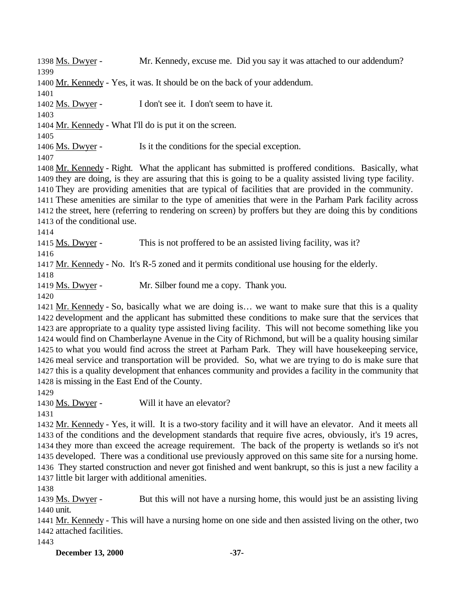Ms. Dwyer - Mr. Kennedy, excuse me. Did you say it was attached to our addendum? 

Mr. Kennedy - Yes, it was. It should be on the back of your addendum.

Ms. Dwyer - I don't see it. I don't seem to have it.

1404 Mr. Kennedy - What I'll do is put it on the screen.

Ms. Dwyer - Is it the conditions for the special exception.

 Mr. Kennedy - Right. What the applicant has submitted is proffered conditions. Basically, what they are doing, is they are assuring that this is going to be a quality assisted living type facility. They are providing amenities that are typical of facilities that are provided in the community. These amenities are similar to the type of amenities that were in the Parham Park facility across the street, here (referring to rendering on screen) by proffers but they are doing this by conditions of the conditional use.

1415 Ms. Dwyer - This is not proffered to be an assisted living facility, was it?

Mr. Kennedy - No. It's R-5 zoned and it permits conditional use housing for the elderly.

Ms. Dwyer - Mr. Silber found me a copy. Thank you.

 Mr. Kennedy - So, basically what we are doing is… we want to make sure that this is a quality development and the applicant has submitted these conditions to make sure that the services that are appropriate to a quality type assisted living facility. This will not become something like you would find on Chamberlayne Avenue in the City of Richmond, but will be a quality housing similar to what you would find across the street at Parham Park. They will have housekeeping service, meal service and transportation will be provided. So, what we are trying to do is make sure that this is a quality development that enhances community and provides a facility in the community that is missing in the East End of the County.

1430 Ms. Dwyer - Will it have an elevator?

 Mr. Kennedy - Yes, it will. It is a two-story facility and it will have an elevator. And it meets all of the conditions and the development standards that require five acres, obviously, it's 19 acres, they more than exceed the acreage requirement. The back of the property is wetlands so it's not developed. There was a conditional use previously approved on this same site for a nursing home. They started construction and never got finished and went bankrupt, so this is just a new facility a little bit larger with additional amenities.

1439 Ms. Dwyer - But this will not have a nursing home, this would just be an assisting living unit.

 Mr. Kennedy - This will have a nursing home on one side and then assisted living on the other, two attached facilities.

**December 13, 2000 -37-**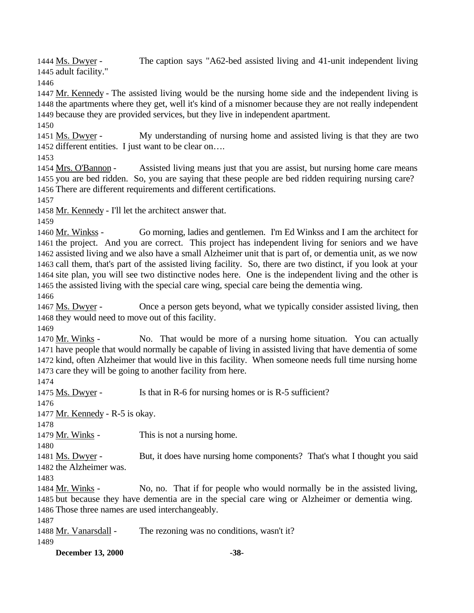Ms. Dwyer - The caption says "A62-bed assisted living and 41-unit independent living adult facility."

1447 Mr. Kennedy - The assisted living would be the nursing home side and the independent living is the apartments where they get, well it's kind of a misnomer because they are not really independent because they are provided services, but they live in independent apartment.

1451 Ms. Dwyer - My understanding of nursing home and assisted living is that they are two different entities. I just want to be clear on….

 Mrs. O'Bannon - Assisted living means just that you are assist, but nursing home care means you are bed ridden. So, you are saying that these people are bed ridden requiring nursing care? There are different requirements and different certifications.

Mr. Kennedy - I'll let the architect answer that.

 Mr. Winkss - Go morning, ladies and gentlemen. I'm Ed Winkss and I am the architect for the project. And you are correct. This project has independent living for seniors and we have assisted living and we also have a small Alzheimer unit that is part of, or dementia unit, as we now call them, that's part of the assisted living facility. So, there are two distinct, if you look at your site plan, you will see two distinctive nodes here. One is the independent living and the other is the assisted living with the special care wing, special care being the dementia wing.

1467 Ms. Dwyer - Once a person gets beyond, what we typically consider assisted living, then they would need to move out of this facility.

1470 Mr. Winks - No. That would be more of a nursing home situation. You can actually have people that would normally be capable of living in assisted living that have dementia of some kind, often Alzheimer that would live in this facility. When someone needs full time nursing home care they will be going to another facility from here.

Ms. Dwyer - Is that in R-6 for nursing homes or is R-5 sufficient?

1477 Mr. Kennedy - R-5 is okay.

Mr. Winks - This is not a nursing home.

1481 Ms. Dwyer - But, it does have nursing home components? That's what I thought you said the Alzheimer was.

 Mr. Winks - No, no. That if for people who would normally be in the assisted living, but because they have dementia are in the special care wing or Alzheimer or dementia wing. Those three names are used interchangeably.

1488 Mr. Vanarsdall - The rezoning was no conditions, wasn't it?

**December 13, 2000 -38-**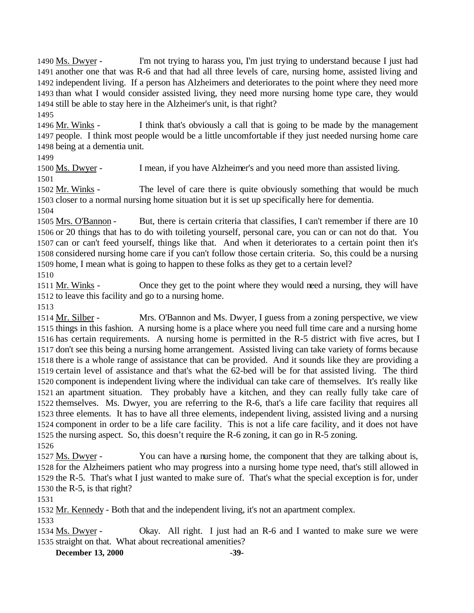Ms. Dwyer - I'm not trying to harass you, I'm just trying to understand because I just had another one that was R-6 and that had all three levels of care, nursing home, assisted living and independent living. If a person has Alzheimers and deteriorates to the point where they need more than what I would consider assisted living, they need more nursing home type care, they would still be able to stay here in the Alzheimer's unit, is that right?

1496 Mr. Winks - I think that's obviously a call that is going to be made by the management people. I think most people would be a little uncomfortable if they just needed nursing home care being at a dementia unit.

 Ms. Dwyer - I mean, if you have Alzheimer's and you need more than assisted living. 

1502 Mr. Winks - The level of care there is quite obviously something that would be much closer to a normal nursing home situation but it is set up specifically here for dementia.

 Mrs. O'Bannon - But, there is certain criteria that classifies, I can't remember if there are 10 or 20 things that has to do with toileting yourself, personal care, you can or can not do that. You can or can't feed yourself, things like that. And when it deteriorates to a certain point then it's considered nursing home care if you can't follow those certain criteria. So, this could be a nursing home, I mean what is going to happen to these folks as they get to a certain level?

 Mr. Winks - Once they get to the point where they would need a nursing, they will have to leave this facility and go to a nursing home.

1514 Mr. Silber - Mrs. O'Bannon and Ms. Dwyer, I guess from a zoning perspective, we view things in this fashion. A nursing home is a place where you need full time care and a nursing home has certain requirements. A nursing home is permitted in the R-5 district with five acres, but I don't see this being a nursing home arrangement. Assisted living can take variety of forms because there is a whole range of assistance that can be provided. And it sounds like they are providing a certain level of assistance and that's what the 62-bed will be for that assisted living. The third component is independent living where the individual can take care of themselves. It's really like an apartment situation. They probably have a kitchen, and they can really fully take care of themselves. Ms. Dwyer, you are referring to the R-6, that's a life care facility that requires all three elements. It has to have all three elements, independent living, assisted living and a nursing component in order to be a life care facility. This is not a life care facility, and it does not have the nursing aspect. So, this doesn't require the R-6 zoning, it can go in R-5 zoning.

1527 Ms. Dwyer - You can have a nursing home, the component that they are talking about is, for the Alzheimers patient who may progress into a nursing home type need, that's still allowed in the R-5. That's what I just wanted to make sure of. That's what the special exception is for, under the R-5, is that right?

Mr. Kennedy - Both that and the independent living, it's not an apartment complex.

1534 Ms. Dwyer - Okay. All right. I just had an R-6 and I wanted to make sure we were straight on that. What about recreational amenities?

**December 13, 2000 -39-**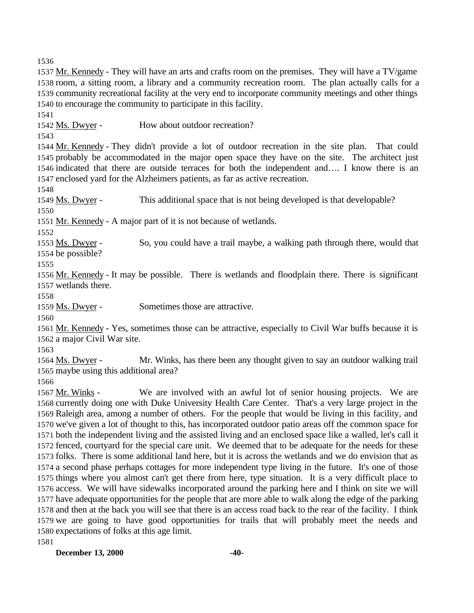1537 Mr. Kennedy - They will have an arts and crafts room on the premises. They will have a TV/game room, a sitting room, a library and a community recreation room. The plan actually calls for a community recreational facility at the very end to incorporate community meetings and other things to encourage the community to participate in this facility.

Ms. Dwyer - How about outdoor recreation?

 Mr. Kennedy - They didn't provide a lot of outdoor recreation in the site plan. That could probably be accommodated in the major open space they have on the site. The architect just indicated that there are outside terraces for both the independent and…. I know there is an enclosed yard for the Alzheimers patients, as far as active recreation.

1549 Ms. Dwyer - This additional space that is not being developed is that developable? 

Mr. Kennedy - A major part of it is not because of wetlands.

 Ms. Dwyer - So, you could have a trail maybe, a walking path through there, would that be possible?

 Mr. Kennedy - It may be possible. There is wetlands and floodplain there. There is significant wetlands there.

Ms. Dwyer - Sometimes those are attractive.

 Mr. Kennedy - Yes, sometimes those can be attractive, especially to Civil War buffs because it is a major Civil War site.

1564 Ms. Dwyer - Mr. Winks, has there been any thought given to say an outdoor walking trail maybe using this additional area?

 Mr. Winks - We are involved with an awful lot of senior housing projects. We are currently doing one with Duke University Health Care Center. That's a very large project in the Raleigh area, among a number of others. For the people that would be living in this facility, and we've given a lot of thought to this, has incorporated outdoor patio areas off the common space for both the independent living and the assisted living and an enclosed space like a walled, let's call it fenced, courtyard for the special care unit. We deemed that to be adequate for the needs for these folks. There is some additional land here, but it is across the wetlands and we do envision that as a second phase perhaps cottages for more independent type living in the future. It's one of those things where you almost can't get there from here, type situation. It is a very difficult place to access. We will have sidewalks incorporated around the parking here and I think on site we will have adequate opportunities for the people that are more able to walk along the edge of the parking and then at the back you will see that there is an access road back to the rear of the facility. I think we are going to have good opportunities for trails that will probably meet the needs and expectations of folks at this age limit.

**December 13, 2000 -40-**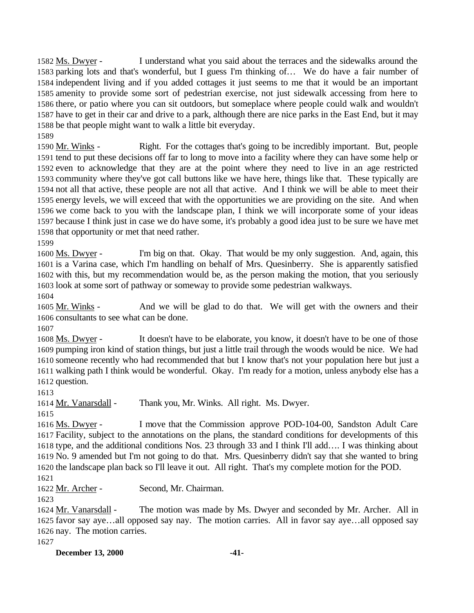Ms. Dwyer - I understand what you said about the terraces and the sidewalks around the parking lots and that's wonderful, but I guess I'm thinking of… We do have a fair number of independent living and if you added cottages it just seems to me that it would be an important amenity to provide some sort of pedestrian exercise, not just sidewalk accessing from here to there, or patio where you can sit outdoors, but someplace where people could walk and wouldn't have to get in their car and drive to a park, although there are nice parks in the East End, but it may be that people might want to walk a little bit everyday.

 Mr. Winks - Right. For the cottages that's going to be incredibly important. But, people tend to put these decisions off far to long to move into a facility where they can have some help or even to acknowledge that they are at the point where they need to live in an age restricted community where they've got call buttons like we have here, things like that. These typically are not all that active, these people are not all that active. And I think we will be able to meet their energy levels, we will exceed that with the opportunities we are providing on the site. And when we come back to you with the landscape plan, I think we will incorporate some of your ideas because I think just in case we do have some, it's probably a good idea just to be sure we have met that opportunity or met that need rather.

1600 Ms. Dwyer - I'm big on that. Okay. That would be my only suggestion. And, again, this is a Varina case, which I'm handling on behalf of Mrs. Quesinberry. She is apparently satisfied with this, but my recommendation would be, as the person making the motion, that you seriously look at some sort of pathway or someway to provide some pedestrian walkways.

 Mr. Winks - And we will be glad to do that. We will get with the owners and their consultants to see what can be done.

 Ms. Dwyer - It doesn't have to be elaborate, you know, it doesn't have to be one of those pumping iron kind of station things, but just a little trail through the woods would be nice. We had someone recently who had recommended that but I know that's not your population here but just a walking path I think would be wonderful. Okay. I'm ready for a motion, unless anybody else has a question.

1614 Mr. Vanarsdall - Thank you, Mr. Winks. All right. Ms. Dwyer.

 Ms. Dwyer - I move that the Commission approve POD-104-00, Sandston Adult Care Facility, subject to the annotations on the plans, the standard conditions for developments of this type, and the additional conditions Nos. 23 through 33 and I think I'll add…. I was thinking about No. 9 amended but I'm not going to do that. Mrs. Quesinberry didn't say that she wanted to bring the landscape plan back so I'll leave it out. All right. That's my complete motion for the POD.

Mr. Archer - Second, Mr. Chairman.

1624 Mr. Vanarsdall - The motion was made by Ms. Dwyer and seconded by Mr. Archer. All in favor say aye…all opposed say nay. The motion carries. All in favor say aye…all opposed say nay. The motion carries.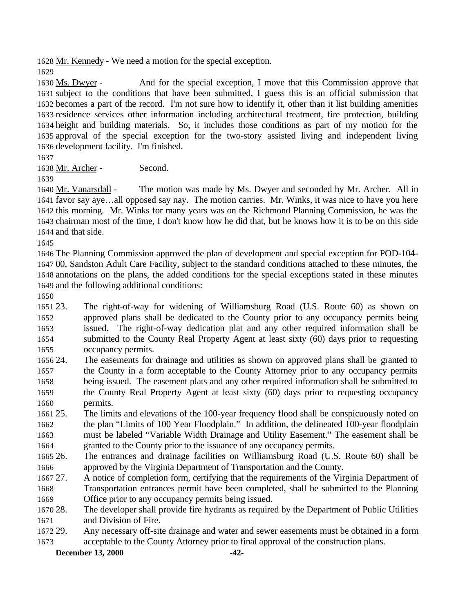Mr. Kennedy - We need a motion for the special exception.

 Ms. Dwyer - And for the special exception, I move that this Commission approve that subject to the conditions that have been submitted, I guess this is an official submission that becomes a part of the record. I'm not sure how to identify it, other than it list building amenities residence services other information including architectural treatment, fire protection, building height and building materials. So, it includes those conditions as part of my motion for the approval of the special exception for the two-story assisted living and independent living development facility. I'm finished.

Mr. Archer - Second.

 Mr. Vanarsdall - The motion was made by Ms. Dwyer and seconded by Mr. Archer. All in favor say aye…all opposed say nay. The motion carries. Mr. Winks, it was nice to have you here this morning. Mr. Winks for many years was on the Richmond Planning Commission, he was the chairman most of the time, I don't know how he did that, but he knows how it is to be on this side and that side.

 The Planning Commission approved the plan of development and special exception for POD-104- 00, Sandston Adult Care Facility, subject to the standard conditions attached to these minutes, the annotations on the plans, the added conditions for the special exceptions stated in these minutes and the following additional conditions:

 23. The right-of-way for widening of Williamsburg Road (U.S. Route 60) as shown on approved plans shall be dedicated to the County prior to any occupancy permits being issued. The right-of-way dedication plat and any other required information shall be submitted to the County Real Property Agent at least sixty (60) days prior to requesting occupancy permits.

- 24. The easements for drainage and utilities as shown on approved plans shall be granted to the County in a form acceptable to the County Attorney prior to any occupancy permits being issued. The easement plats and any other required information shall be submitted to the County Real Property Agent at least sixty (60) days prior to requesting occupancy permits.
- 25. The limits and elevations of the 100-year frequency flood shall be conspicuously noted on the plan "Limits of 100 Year Floodplain." In addition, the delineated 100-year floodplain must be labeled "Variable Width Drainage and Utility Easement." The easement shall be granted to the County prior to the issuance of any occupancy permits.
- 26. The entrances and drainage facilities on Williamsburg Road (U.S. Route 60) shall be approved by the Virginia Department of Transportation and the County.
- 27. A notice of completion form, certifying that the requirements of the Virginia Department of Transportation entrances permit have been completed, shall be submitted to the Planning Office prior to any occupancy permits being issued.
- 28. The developer shall provide fire hydrants as required by the Department of Public Utilities and Division of Fire.
- 29. Any necessary off-site drainage and water and sewer easements must be obtained in a form acceptable to the County Attorney prior to final approval of the construction plans.

**December 13, 2000 -42-**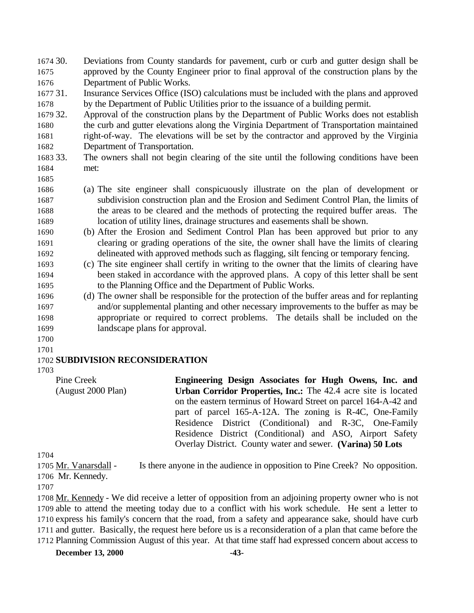30. Deviations from County standards for pavement, curb or curb and gutter design shall be approved by the County Engineer prior to final approval of the construction plans by the Department of Public Works.

 31. Insurance Services Office (ISO) calculations must be included with the plans and approved by the Department of Public Utilities prior to the issuance of a building permit.

 32. Approval of the construction plans by the Department of Public Works does not establish the curb and gutter elevations along the Virginia Department of Transportation maintained right-of-way. The elevations will be set by the contractor and approved by the Virginia Department of Transportation.

- 33. The owners shall not begin clearing of the site until the following conditions have been met:
- 
- (a) The site engineer shall conspicuously illustrate on the plan of development or subdivision construction plan and the Erosion and Sediment Control Plan, the limits of the areas to be cleared and the methods of protecting the required buffer areas. The location of utility lines, drainage structures and easements shall be shown.
- (b) After the Erosion and Sediment Control Plan has been approved but prior to any clearing or grading operations of the site, the owner shall have the limits of clearing delineated with approved methods such as flagging, silt fencing or temporary fencing.
- (c) The site engineer shall certify in writing to the owner that the limits of clearing have been staked in accordance with the approved plans. A copy of this letter shall be sent to the Planning Office and the Department of Public Works.
- (d) The owner shall be responsible for the protection of the buffer areas and for replanting and/or supplemental planting and other necessary improvements to the buffer as may be appropriate or required to correct problems. The details shall be included on the landscape plans for approval.
- 
- 

## **SUBDIVISION RECONSIDERATION**

Pine Creek (August 2000 Plan) **Engineering Design Associates for Hugh Owens, Inc. and Urban Corridor Properties, Inc.:** The 42.4 acre site is located on the eastern terminus of Howard Street on parcel 164-A-42 and part of parcel 165-A-12A. The zoning is R-4C, One-Family Residence District (Conditional) and R-3C, One-Family Residence District (Conditional) and ASO, Airport Safety Overlay District. County water and sewer. **(Varina) 50 Lots**

Mr. Vanarsdall - Is there anyone in the audience in opposition to Pine Creek? No opposition.

Mr. Kennedy.

 Mr. Kennedy - We did receive a letter of opposition from an adjoining property owner who is not able to attend the meeting today due to a conflict with his work schedule. He sent a letter to express his family's concern that the road, from a safety and appearance sake, should have curb and gutter. Basically, the request here before us is a reconsideration of a plan that came before the Planning Commission August of this year. At that time staff had expressed concern about access to

**December 13, 2000 -43-**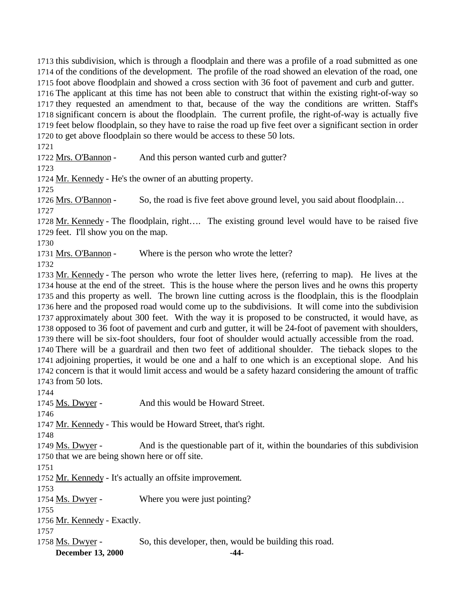this subdivision, which is through a floodplain and there was a profile of a road submitted as one of the conditions of the development. The profile of the road showed an elevation of the road, one foot above floodplain and showed a cross section with 36 foot of pavement and curb and gutter. The applicant at this time has not been able to construct that within the existing right-of-way so they requested an amendment to that, because of the way the conditions are written. Staff's significant concern is about the floodplain. The current profile, the right-of-way is actually five feet below floodplain, so they have to raise the road up five feet over a significant section in order to get above floodplain so there would be access to these 50 lots.

1722 Mrs. O'Bannon - And this person wanted curb and gutter?

Mr. Kennedy - He's the owner of an abutting property.

1726 Mrs. O'Bannon - So, the road is five feet above ground level, you said about floodplain... 

 Mr. Kennedy - The floodplain, right…. The existing ground level would have to be raised five feet. I'll show you on the map.

1731 Mrs. O'Bannon - Where is the person who wrote the letter?

 Mr. Kennedy - The person who wrote the letter lives here, (referring to map). He lives at the house at the end of the street. This is the house where the person lives and he owns this property and this property as well. The brown line cutting across is the floodplain, this is the floodplain here and the proposed road would come up to the subdivisions. It will come into the subdivision approximately about 300 feet. With the way it is proposed to be constructed, it would have, as opposed to 36 foot of pavement and curb and gutter, it will be 24-foot of pavement with shoulders, there will be six-foot shoulders, four foot of shoulder would actually accessible from the road. There will be a guardrail and then two feet of additional shoulder. The tieback slopes to the adjoining properties, it would be one and a half to one which is an exceptional slope. And his concern is that it would limit access and would be a safety hazard considering the amount of traffic from 50 lots.

1745 Ms. Dwyer - And this would be Howard Street.

1747 Mr. Kennedy - This would be Howard Street, that's right.

1749 Ms. Dwyer - And is the questionable part of it, within the boundaries of this subdivision that we are being shown here or off site.

Mr. Kennedy - It's actually an offsite improvement.

Ms. Dwyer - Where you were just pointing?

1756 Mr. Kennedy - Exactly.

Ms. Dwyer - So, this developer, then, would be building this road.

**December 13, 2000 -44-**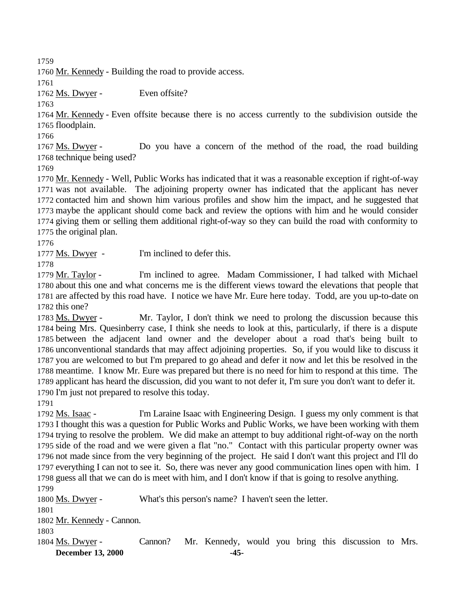1760 Mr. Kennedy - Building the road to provide access.

Ms. Dwyer - Even offsite?

 Mr. Kennedy - Even offsite because there is no access currently to the subdivision outside the floodplain.

 Ms. Dwyer - Do you have a concern of the method of the road, the road building technique being used?

 Mr. Kennedy - Well, Public Works has indicated that it was a reasonable exception if right-of-way was not available. The adjoining property owner has indicated that the applicant has never contacted him and shown him various profiles and show him the impact, and he suggested that maybe the applicant should come back and review the options with him and he would consider giving them or selling them additional right-of-way so they can build the road with conformity to the original plan.

Ms. Dwyer - I'm inclined to defer this.

 Mr. Taylor - I'm inclined to agree. Madam Commissioner, I had talked with Michael about this one and what concerns me is the different views toward the elevations that people that are affected by this road have. I notice we have Mr. Eure here today. Todd, are you up-to-date on this one?

1783 Ms. Dwyer - Mr. Taylor, I don't think we need to prolong the discussion because this being Mrs. Quesinberry case, I think she needs to look at this, particularly, if there is a dispute between the adjacent land owner and the developer about a road that's being built to unconventional standards that may affect adjoining properties. So, if you would like to discuss it you are welcomed to but I'm prepared to go ahead and defer it now and let this be resolved in the meantime. I know Mr. Eure was prepared but there is no need for him to respond at this time. The applicant has heard the discussion, did you want to not defer it, I'm sure you don't want to defer it. I'm just not prepared to resolve this today.

 Ms. Isaac - I'm Laraine Isaac with Engineering Design. I guess my only comment is that I thought this was a question for Public Works and Public Works, we have been working with them trying to resolve the problem. We did make an attempt to buy additional right-of-way on the north side of the road and we were given a flat "no." Contact with this particular property owner was not made since from the very beginning of the project. He said I don't want this project and I'll do everything I can not to see it. So, there was never any good communication lines open with him. I guess all that we can do is meet with him, and I don't know if that is going to resolve anything. 

1800 Ms. Dwyer - What's this person's name? I haven't seen the letter.

Mr. Kennedy - Cannon.

**December 13, 2000 -45-** Ms. Dwyer - Cannon? Mr. Kennedy, would you bring this discussion to Mrs.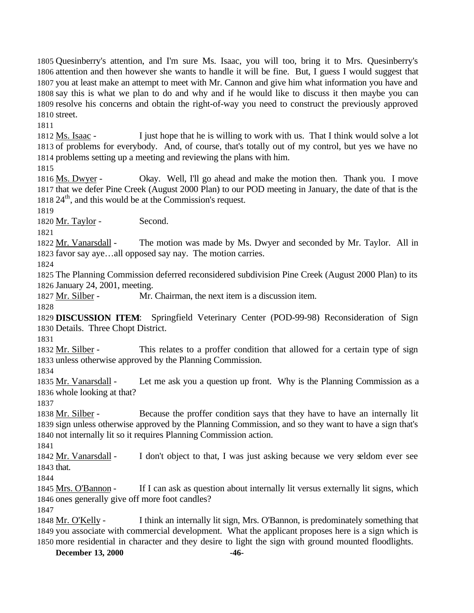Quesinberry's attention, and I'm sure Ms. Isaac, you will too, bring it to Mrs. Quesinberry's attention and then however she wants to handle it will be fine. But, I guess I would suggest that you at least make an attempt to meet with Mr. Cannon and give him what information you have and say this is what we plan to do and why and if he would like to discuss it then maybe you can resolve his concerns and obtain the right-of-way you need to construct the previously approved street.

1812 Ms. Isaac - I just hope that he is willing to work with us. That I think would solve a lot of problems for everybody. And, of course, that's totally out of my control, but yes we have no problems setting up a meeting and reviewing the plans with him.

1816 Ms. Dwyer - Okay. Well, I'll go ahead and make the motion then. Thank you. I move that we defer Pine Creek (August 2000 Plan) to our POD meeting in January, the date of that is the 1818  $24<sup>th</sup>$ , and this would be at the Commission's request.

1820 Mr. Taylor - Second.

1822 Mr. Vanarsdall - The motion was made by Ms. Dwyer and seconded by Mr. Taylor. All in favor say aye…all opposed say nay. The motion carries.

 The Planning Commission deferred reconsidered subdivision Pine Creek (August 2000 Plan) to its January 24, 2001, meeting.

Mr. Silber - Mr. Chairman, the next item is a discussion item.

 **DISCUSSION ITEM**: Springfield Veterinary Center (POD-99-98) Reconsideration of Sign Details. Three Chopt District.

 Mr. Silber - This relates to a proffer condition that allowed for a certain type of sign unless otherwise approved by the Planning Commission.

 Mr. Vanarsdall - Let me ask you a question up front. Why is the Planning Commission as a whole looking at that?

 Mr. Silber - Because the proffer condition says that they have to have an internally lit sign unless otherwise approved by the Planning Commission, and so they want to have a sign that's not internally lit so it requires Planning Commission action.

 Mr. Vanarsdall - I don't object to that, I was just asking because we very seldom ever see that.

 Mrs. O'Bannon - If I can ask as question about internally lit versus externally lit signs, which ones generally give off more foot candles?

 Mr. O'Kelly - I think an internally lit sign, Mrs. O'Bannon, is predominately something that you associate with commercial development. What the applicant proposes here is a sign which is more residential in character and they desire to light the sign with ground mounted floodlights.

**December 13, 2000 -46-**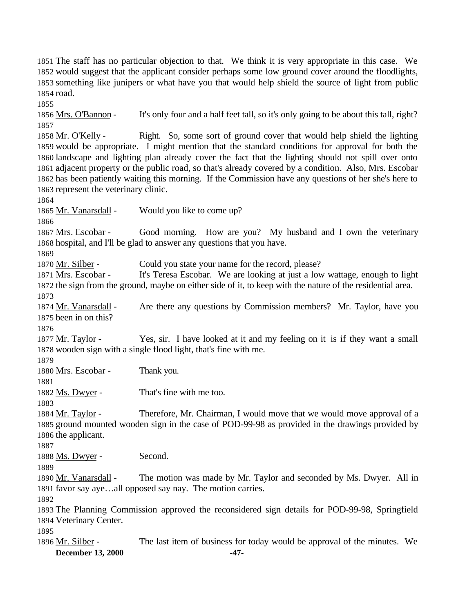The staff has no particular objection to that. We think it is very appropriate in this case. We would suggest that the applicant consider perhaps some low ground cover around the floodlights, something like junipers or what have you that would help shield the source of light from public road.

 Mrs. O'Bannon - It's only four and a half feet tall, so it's only going to be about this tall, right? 

 Mr. O'Kelly - Right. So, some sort of ground cover that would help shield the lighting would be appropriate. I might mention that the standard conditions for approval for both the landscape and lighting plan already cover the fact that the lighting should not spill over onto adjacent property or the public road, so that's already covered by a condition. Also, Mrs. Escobar has been patiently waiting this morning. If the Commission have any questions of her she's here to represent the veterinary clinic.

1865 Mr. Vanarsdall - Would you like to come up?

 Mrs. Escobar - Good morning. How are you? My husband and I own the veterinary hospital, and I'll be glad to answer any questions that you have.

1870 Mr. Silber - Could you state your name for the record, please?

 Mrs. Escobar - It's Teresa Escobar. We are looking at just a low wattage, enough to light the sign from the ground, maybe on either side of it, to keep with the nature of the residential area. 

1874 Mr. Vanarsdall - Are there any questions by Commission members? Mr. Taylor, have you been in on this?

1877 Mr. Taylor - Yes, sir. I have looked at it and my feeling on it is if they want a small wooden sign with a single flood light, that's fine with me.

Mrs. Escobar - Thank you.

Ms. Dwyer - That's fine with me too.

 Mr. Taylor - Therefore, Mr. Chairman, I would move that we would move approval of a ground mounted wooden sign in the case of POD-99-98 as provided in the drawings provided by the applicant.

1888 Ms. Dwyer - Second.

 Mr. Vanarsdall - The motion was made by Mr. Taylor and seconded by Ms. Dwyer. All in favor say aye…all opposed say nay. The motion carries.

 The Planning Commission approved the reconsidered sign details for POD-99-98, Springfield Veterinary Center.

**December 13, 2000 -47-** Mr. Silber - The last item of business for today would be approval of the minutes. We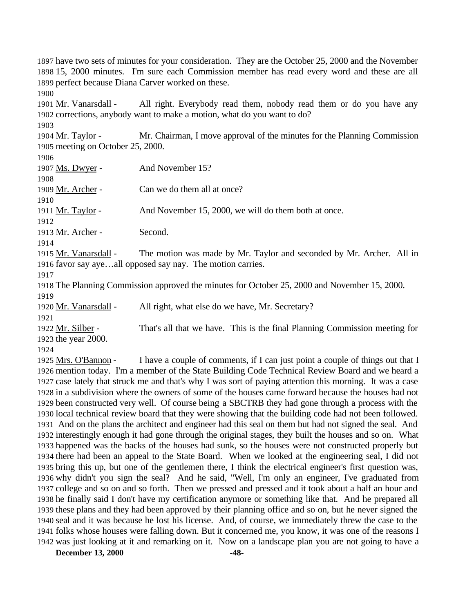have two sets of minutes for your consideration. They are the October 25, 2000 and the November 15, 2000 minutes. I'm sure each Commission member has read every word and these are all perfect because Diana Carver worked on these.

 Mr. Vanarsdall - All right. Everybody read them, nobody read them or do you have any corrections, anybody want to make a motion, what do you want to do?

1904 Mr. Taylor - Mr. Chairman, I move approval of the minutes for the Planning Commission meeting on October 25, 2000.

 Ms. Dwyer - And November 15? Mr. Archer - Can we do them all at once? 1911 Mr. Taylor - And November 15, 2000, we will do them both at once. Mr. Archer - Second. 1915 Mr. Vanarsdall - The motion was made by Mr. Taylor and seconded by Mr. Archer. All in favor say aye…all opposed say nay. The motion carries. The Planning Commission approved the minutes for October 25, 2000 and November 15, 2000. Mr. Vanarsdall - All right, what else do we have, Mr. Secretary? Mr. Silber - That's all that we have. This is the final Planning Commission meeting for the year 2000. 1925 Mrs. O'Bannon - I have a couple of comments, if I can just point a couple of things out that I

 mention today. I'm a member of the State Building Code Technical Review Board and we heard a case lately that struck me and that's why I was sort of paying attention this morning. It was a case in a subdivision where the owners of some of the houses came forward because the houses had not been constructed very well. Of course being a SBCTRB they had gone through a process with the local technical review board that they were showing that the building code had not been followed. And on the plans the architect and engineer had this seal on them but had not signed the seal. And interestingly enough it had gone through the original stages, they built the houses and so on. What happened was the backs of the houses had sunk, so the houses were not constructed properly but there had been an appeal to the State Board. When we looked at the engineering seal, I did not bring this up, but one of the gentlemen there, I think the electrical engineer's first question was, why didn't you sign the seal? And he said, "Well, I'm only an engineer, I've graduated from college and so on and so forth. Then we pressed and pressed and it took about a half an hour and he finally said I don't have my certification anymore or something like that. And he prepared all these plans and they had been approved by their planning office and so on, but he never signed the seal and it was because he lost his license. And, of course, we immediately threw the case to the folks whose houses were falling down. But it concerned me, you know, it was one of the reasons I was just looking at it and remarking on it. Now on a landscape plan you are not going to have a

**December 13, 2000 -48-**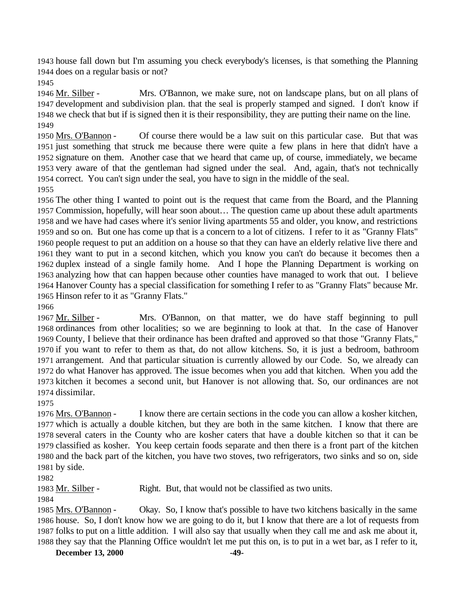house fall down but I'm assuming you check everybody's licenses, is that something the Planning does on a regular basis or not?

1946 Mr. Silber - Mrs. O'Bannon, we make sure, not on landscape plans, but on all plans of development and subdivision plan. that the seal is properly stamped and signed. I don't know if we check that but if is signed then it is their responsibility, they are putting their name on the line. 

 Mrs. O'Bannon - Of course there would be a law suit on this particular case. But that was just something that struck me because there were quite a few plans in here that didn't have a signature on them. Another case that we heard that came up, of course, immediately, we became very aware of that the gentleman had signed under the seal. And, again, that's not technically correct. You can't sign under the seal, you have to sign in the middle of the seal. 

 The other thing I wanted to point out is the request that came from the Board, and the Planning Commission, hopefully, will hear soon about… The question came up about these adult apartments and we have had cases where it's senior living apartments 55 and older, you know, and restrictions and so on. But one has come up that is a concern to a lot of citizens. I refer to it as "Granny Flats" people request to put an addition on a house so that they can have an elderly relative live there and they want to put in a second kitchen, which you know you can't do because it becomes then a duplex instead of a single family home. And I hope the Planning Department is working on analyzing how that can happen because other counties have managed to work that out. I believe Hanover County has a special classification for something I refer to as "Granny Flats" because Mr. Hinson refer to it as "Granny Flats."

1967 Mr. Silber - Mrs. O'Bannon, on that matter, we do have staff beginning to pull ordinances from other localities; so we are beginning to look at that. In the case of Hanover County, I believe that their ordinance has been drafted and approved so that those "Granny Flats," if you want to refer to them as that, do not allow kitchens. So, it is just a bedroom, bathroom arrangement. And that particular situation is currently allowed by our Code. So, we already can do what Hanover has approved. The issue becomes when you add that kitchen. When you add the kitchen it becomes a second unit, but Hanover is not allowing that. So, our ordinances are not dissimilar.

 Mrs. O'Bannon - I know there are certain sections in the code you can allow a kosher kitchen, which is actually a double kitchen, but they are both in the same kitchen. I know that there are several caters in the County who are kosher caters that have a double kitchen so that it can be classified as kosher. You keep certain foods separate and then there is a front part of the kitchen and the back part of the kitchen, you have two stoves, two refrigerators, two sinks and so on, side by side.

1983 Mr. Silber - Right. But, that would not be classified as two units.

 Mrs. O'Bannon - Okay. So, I know that's possible to have two kitchens basically in the same house. So, I don't know how we are going to do it, but I know that there are a lot of requests from folks to put on a little addition. I will also say that usually when they call me and ask me about it, they say that the Planning Office wouldn't let me put this on, is to put in a wet bar, as I refer to it,

**December 13, 2000 -49-**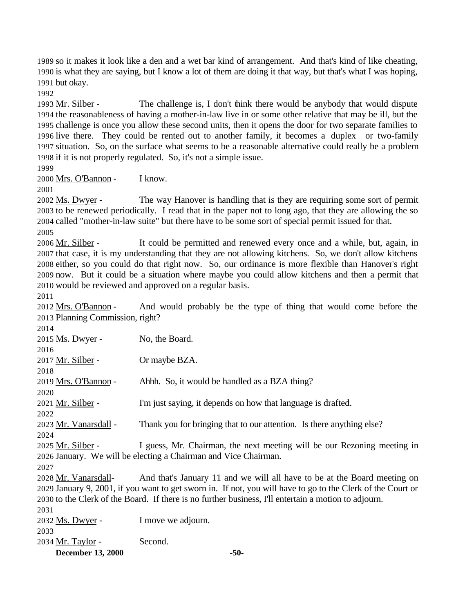so it makes it look like a den and a wet bar kind of arrangement. And that's kind of like cheating, is what they are saying, but I know a lot of them are doing it that way, but that's what I was hoping, but okay.

 Mr. Silber - The challenge is, I don't think there would be anybody that would dispute the reasonableness of having a mother-in-law live in or some other relative that may be ill, but the challenge is once you allow these second units, then it opens the door for two separate families to live there. They could be rented out to another family, it becomes a duplex or two-family situation. So, on the surface what seems to be a reasonable alternative could really be a problem if it is not properly regulated. So, it's not a simple issue.

Mrs. O'Bannon - I know.

 Ms. Dwyer - The way Hanover is handling that is they are requiring some sort of permit to be renewed periodically. I read that in the paper not to long ago, that they are allowing the so called "mother-in-law suite" but there have to be some sort of special permit issued for that. 

2006 Mr. Silber - It could be permitted and renewed every once and a while, but, again, in that case, it is my understanding that they are not allowing kitchens. So, we don't allow kitchens either, so you could do that right now. So, our ordinance is more flexible than Hanover's right now. But it could be a situation where maybe you could allow kitchens and then a permit that would be reviewed and approved on a regular basis.

 Mrs. O'Bannon - And would probably be the type of thing that would come before the Planning Commission, right? 

| <b>December 13, 2000</b> | $-50-$                                                                                                      |
|--------------------------|-------------------------------------------------------------------------------------------------------------|
| 2034 Mr. Taylor -        | Second.                                                                                                     |
| 2033                     |                                                                                                             |
| 2032 Ms. Dwyer -         | I move we adjourn.                                                                                          |
| 2031                     |                                                                                                             |
|                          | 2030 to the Clerk of the Board. If there is no further business, I'll entertain a motion to adjourn.        |
|                          | 2029 January 9, 2001, if you want to get sworn in. If not, you will have to go to the Clerk of the Court or |
| 2028 Mr. Vanarsdall-     | And that's January 11 and we will all have to be at the Board meeting on                                    |
| 2027                     |                                                                                                             |
|                          | 2026 January. We will be electing a Chairman and Vice Chairman.                                             |
| 2025 Mr. Silber -        | I guess, Mr. Chairman, the next meeting will be our Rezoning meeting in                                     |
| 2024                     |                                                                                                             |
| 2023 Mr. Vanarsdall -    | Thank you for bringing that to our attention. Is there anything else?                                       |
| 2022                     |                                                                                                             |
| 2021 Mr. Silber -        | I'm just saying, it depends on how that language is drafted.                                                |
| 2020                     |                                                                                                             |
| 2019 Mrs. O'Bannon -     | Ahhh. So, it would be handled as a BZA thing?                                                               |
| 2018                     |                                                                                                             |
| 2017 Mr. Silber -        | Or maybe BZA.                                                                                               |
| 2016                     |                                                                                                             |
| 2014<br>2015 Ms. Dwyer - | No, the Board.                                                                                              |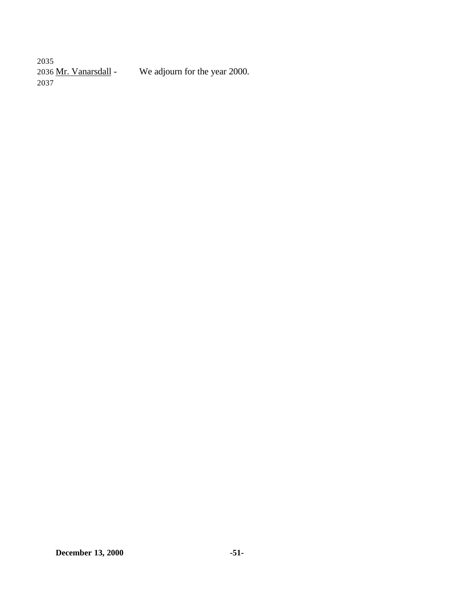2035<br>2036 <u>Mr. Vanarsdall</u> -We adjourn for the year 2000. 2037